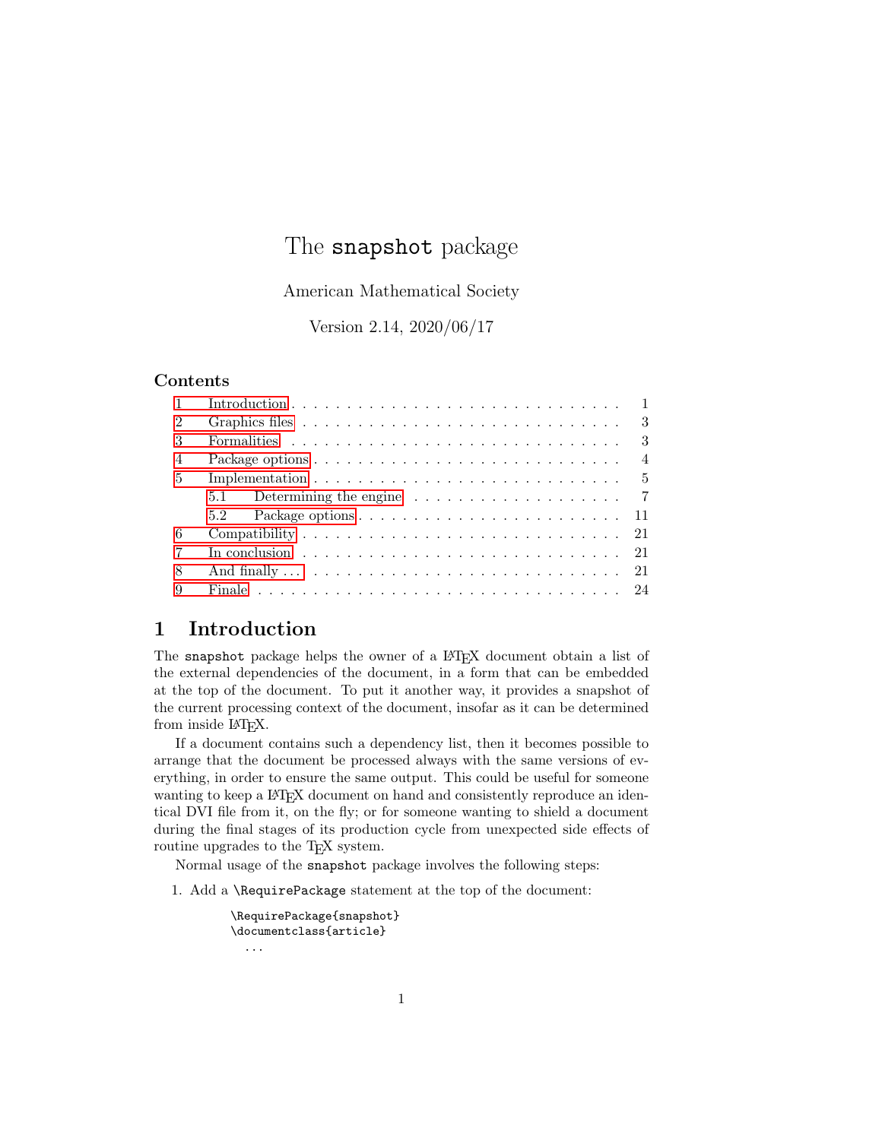# The snapshot package

American Mathematical Society

Version 2.14, 2020/06/17

# Contents

| $\mathcal{D}$  | 3                                                                                        |                |
|----------------|------------------------------------------------------------------------------------------|----------------|
| 3              | 3                                                                                        |                |
| $\overline{4}$ |                                                                                          | $\overline{4}$ |
| 5              | Implementation $\ldots \ldots \ldots \ldots \ldots \ldots \ldots \ldots \ldots \ldots 5$ |                |
|                | Determining the engine $\ldots \ldots \ldots \ldots \ldots \ldots$ 7<br>5.1              |                |
|                | 5.2                                                                                      |                |
| 6              |                                                                                          |                |
|                | In conclusion $\ldots \ldots \ldots \ldots \ldots \ldots \ldots \ldots \ldots$           |                |
| 8              |                                                                                          |                |
|                |                                                                                          |                |
|                |                                                                                          |                |

# <span id="page-0-0"></span>1 Introduction

The snapshot package helps the owner of a LAT<sub>EX</sub> document obtain a list of the external dependencies of the document, in a form that can be embedded at the top of the document. To put it another way, it provides a snapshot of the current processing context of the document, insofar as it can be determined from inside L<sup>AT</sup>FX.

If a document contains such a dependency list, then it becomes possible to arrange that the document be processed always with the same versions of everything, in order to ensure the same output. This could be useful for someone wanting to keep a LAT<sub>EX</sub> document on hand and consistently reproduce an identical DVI file from it, on the fly; or for someone wanting to shield a document during the final stages of its production cycle from unexpected side effects of routine upgrades to the T<sub>E</sub>X system.

Normal usage of the snapshot package involves the following steps:

1. Add a \RequirePackage statement at the top of the document:

```
\RequirePackage{snapshot}
\documentclass{article}
  ...
```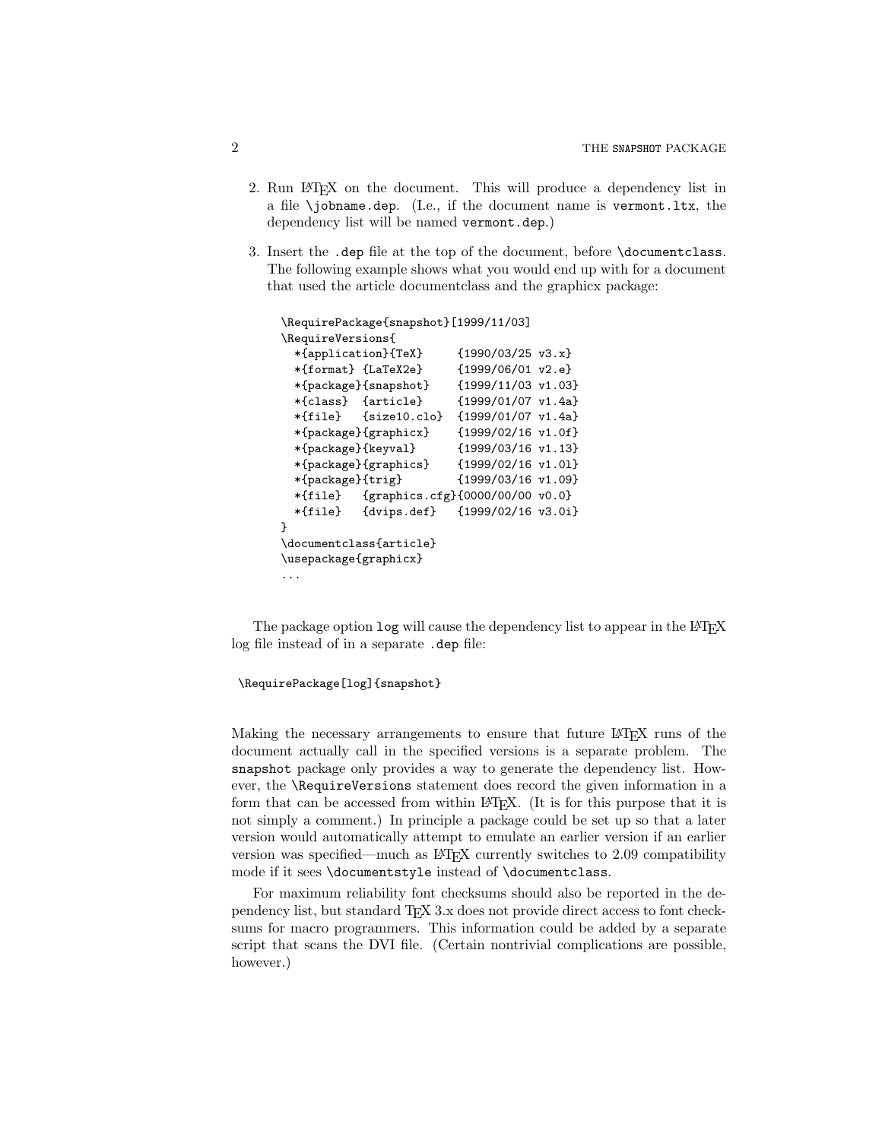- 2. Run L<sup>AT</sup>EX on the document. This will produce a dependency list in a file \jobname.dep. (I.e., if the document name is vermont.ltx, the dependency list will be named vermont.dep.)
- 3. Insert the .dep file at the top of the document, before \documentclass. The following example shows what you would end up with for a document that used the article documentclass and the graphicx package:

```
\RequirePackage{snapshot}[1999/11/03]
\RequireVersions{
  *{application}{TeX} {1990/03/25 v3.x}
  *{format} {LaTeX2e} {1999/06/01 v2.e}
  *{package}{snapshot} {1999/11/03 v1.03}
  *{class} {article} {1999/01/07 v1.4a}
  *{file} {size10.clo} {1999/01/07 v1.4a}
  *{package}{graphicx} {1999/02/16 v1.0f}
  *{package}{keyval} {1999/03/16 v1.13}
  *{package}{graphics} {1999/02/16 v1.0l}
  *{package}{trig} {1999/03/16 v1.09}
  *{file} {graphics.cfg}{0000/00/00 v0.0}
  *{file} {dvips.def} {1999/02/16 v3.0i}
}
\documentclass{article}
\usepackage{graphicx}
...
```
The package option  $\log$  will cause the dependency list to appear in the LATEX log file instead of in a separate .dep file:

\RequirePackage[log]{snapshot}

Making the necessary arrangements to ensure that future LAT<sub>EX</sub> runs of the document actually call in the specified versions is a separate problem. The snapshot package only provides a way to generate the dependency list. However, the \RequireVersions statement does record the given information in a form that can be accessed from within LAT<sub>EX</sub>. (It is for this purpose that it is not simply a comment.) In principle a package could be set up so that a later version would automatically attempt to emulate an earlier version if an earlier version was specified—much as LAT<sub>EX</sub> currently switches to 2.09 compatibility mode if it sees \documentstyle instead of \documentclass.

For maximum reliability font checksums should also be reported in the dependency list, but standard TEX 3.x does not provide direct access to font checksums for macro programmers. This information could be added by a separate script that scans the DVI file. (Certain nontrivial complications are possible, however.)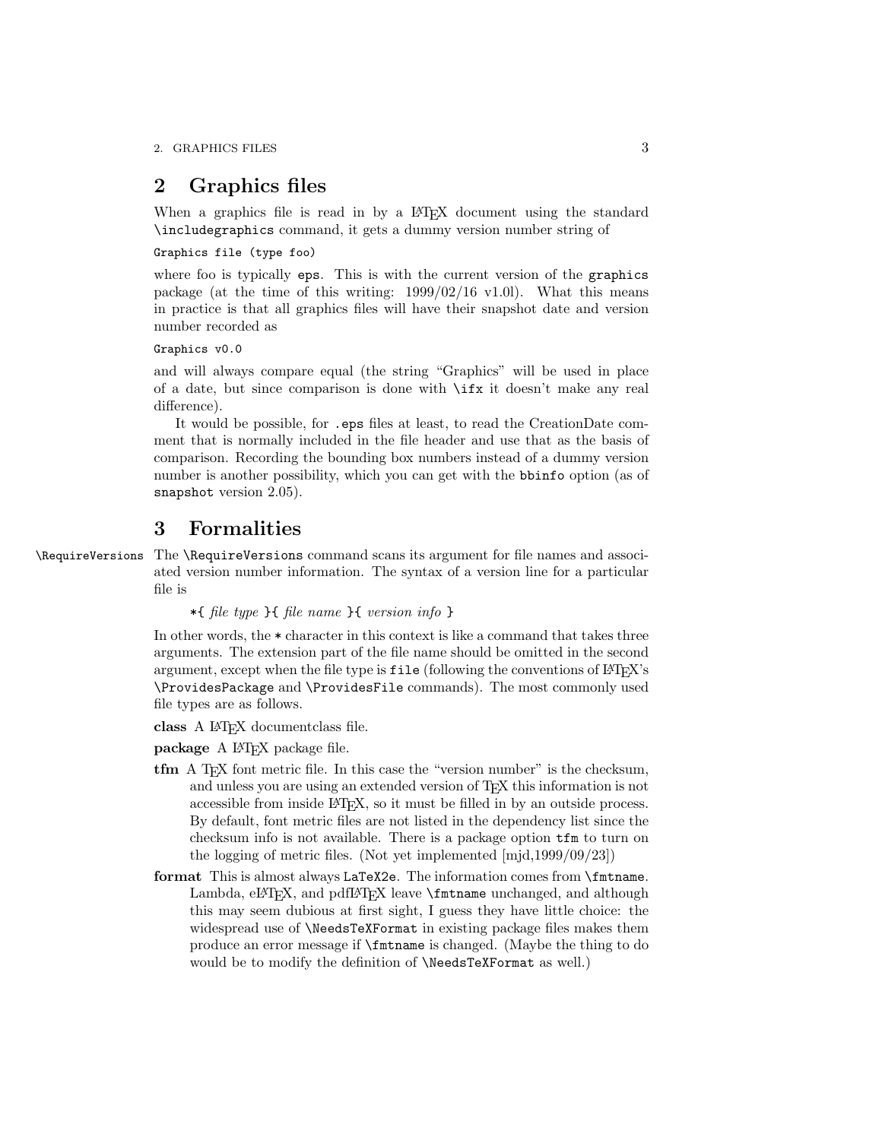2. GRAPHICS FILES 3

# <span id="page-2-0"></span>2 Graphics files

When a graphics file is read in by a LAT<sub>EX</sub> document using the standard \includegraphics command, it gets a dummy version number string of

Graphics file (type foo)

where foo is typically eps. This is with the current version of the graphics package (at the time of this writing:  $1999/02/16$  v1.0l). What this means in practice is that all graphics files will have their snapshot date and version number recorded as

Graphics v0.0

and will always compare equal (the string "Graphics" will be used in place of a date, but since comparison is done with \ifx it doesn't make any real difference).

It would be possible, for .eps files at least, to read the CreationDate comment that is normally included in the file header and use that as the basis of comparison. Recording the bounding box numbers instead of a dummy version number is another possibility, which you can get with the bbinfo option (as of snapshot version 2.05).

# <span id="page-2-1"></span>3 Formalities

\RequireVersions The \RequireVersions command scans its argument for file names and associated version number information. The syntax of a version line for a particular file is

\*{ file type }{ file name }{ version info }

In other words, the \* character in this context is like a command that takes three arguments. The extension part of the file name should be omitted in the second argument, except when the file type is file (following the conventions of LAT<sub>E</sub>X's \ProvidesPackage and \ProvidesFile commands). The most commonly used file types are as follows.

class A LATEX documentclass file.

package A LATEX package file.

- tfm A TEX font metric file. In this case the "version number" is the checksum, and unless you are using an extended version of TEX this information is not accessible from inside LAT<sub>E</sub>X, so it must be filled in by an outside process. By default, font metric files are not listed in the dependency list since the checksum info is not available. There is a package option tfm to turn on the logging of metric files. (Not yet implemented [mjd,1999/09/23])
- format This is almost always LaTeX2e. The information comes from \fmtname. Lambda, eLTEX, and pdfLATEX leave **\fmtname** unchanged, and although this may seem dubious at first sight, I guess they have little choice: the widespread use of \NeedsTeXFormat in existing package files makes them produce an error message if \fmtname is changed. (Maybe the thing to do would be to modify the definition of \NeedsTeXFormat as well.)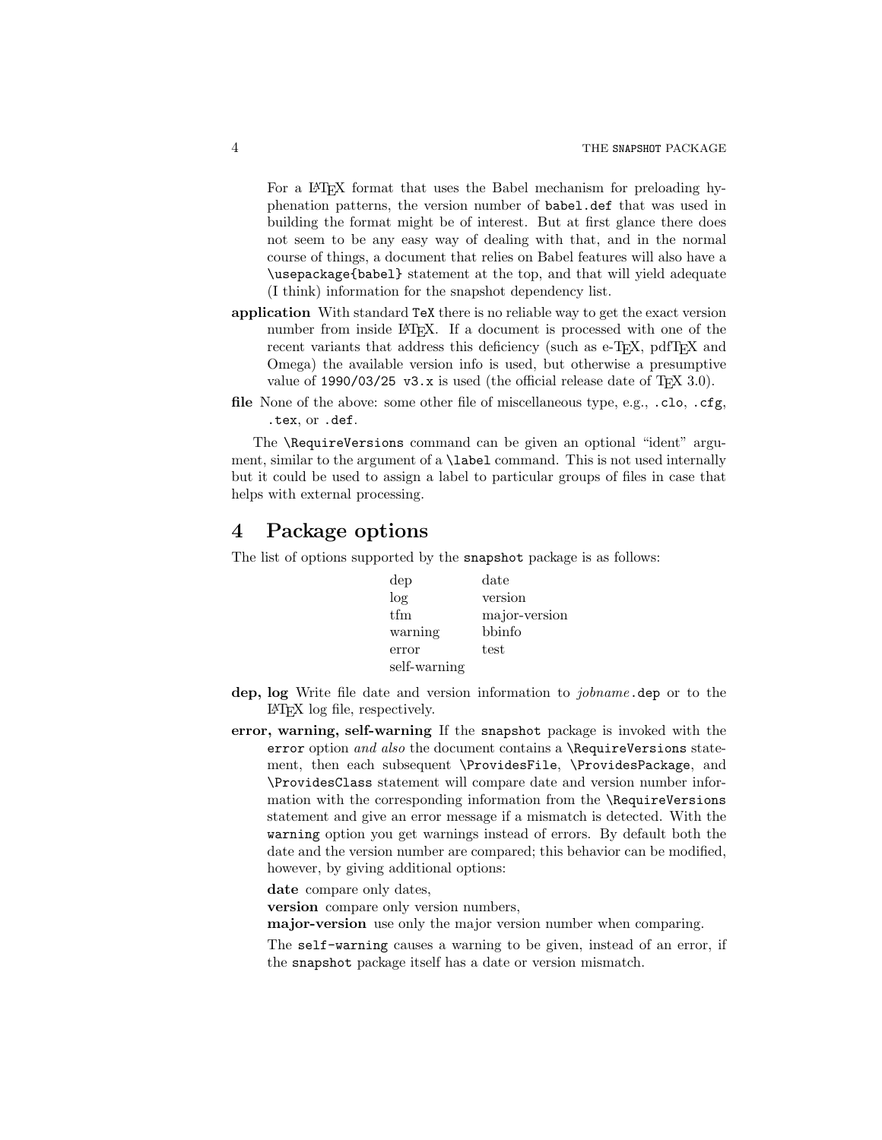For a LAT<sub>E</sub>X format that uses the Babel mechanism for preloading hyphenation patterns, the version number of babel.def that was used in building the format might be of interest. But at first glance there does not seem to be any easy way of dealing with that, and in the normal course of things, a document that relies on Babel features will also have a \usepackage{babel} statement at the top, and that will yield adequate (I think) information for the snapshot dependency list.

- application With standard TeX there is no reliable way to get the exact version number from inside LAT<sub>EX</sub>. If a document is processed with one of the recent variants that address this deficiency (such as e-TEX, pdfTEX and Omega) the available version info is used, but otherwise a presumptive value of 1990/03/25 v3.x is used (the official release date of T<sub>F</sub>X 3.0).
- file None of the above: some other file of miscellaneous type, e.g., .clo, .cfg, .tex, or .def.

The **\RequireVersions** command can be given an optional "ident" argument, similar to the argument of a \label command. This is not used internally but it could be used to assign a label to particular groups of files in case that helps with external processing.

# <span id="page-3-0"></span>4 Package options

The list of options supported by the snapshot package is as follows:

| dep          | date          |
|--------------|---------------|
| log          | version       |
| tfm          | major-version |
| warning      | bbinfo        |
| error        | test          |
| self-warning |               |

- dep, log Write file date and version information to *jobname*.dep or to the LATEX log file, respectively.
- error, warning, self-warning If the snapshot package is invoked with the error option and also the document contains a **\RequireVersions** statement, then each subsequent \ProvidesFile, \ProvidesPackage, and \ProvidesClass statement will compare date and version number information with the corresponding information from the \RequireVersions statement and give an error message if a mismatch is detected. With the warning option you get warnings instead of errors. By default both the date and the version number are compared; this behavior can be modified, however, by giving additional options:
	- date compare only dates,

version compare only version numbers,

major-version use only the major version number when comparing.

The self-warning causes a warning to be given, instead of an error, if the snapshot package itself has a date or version mismatch.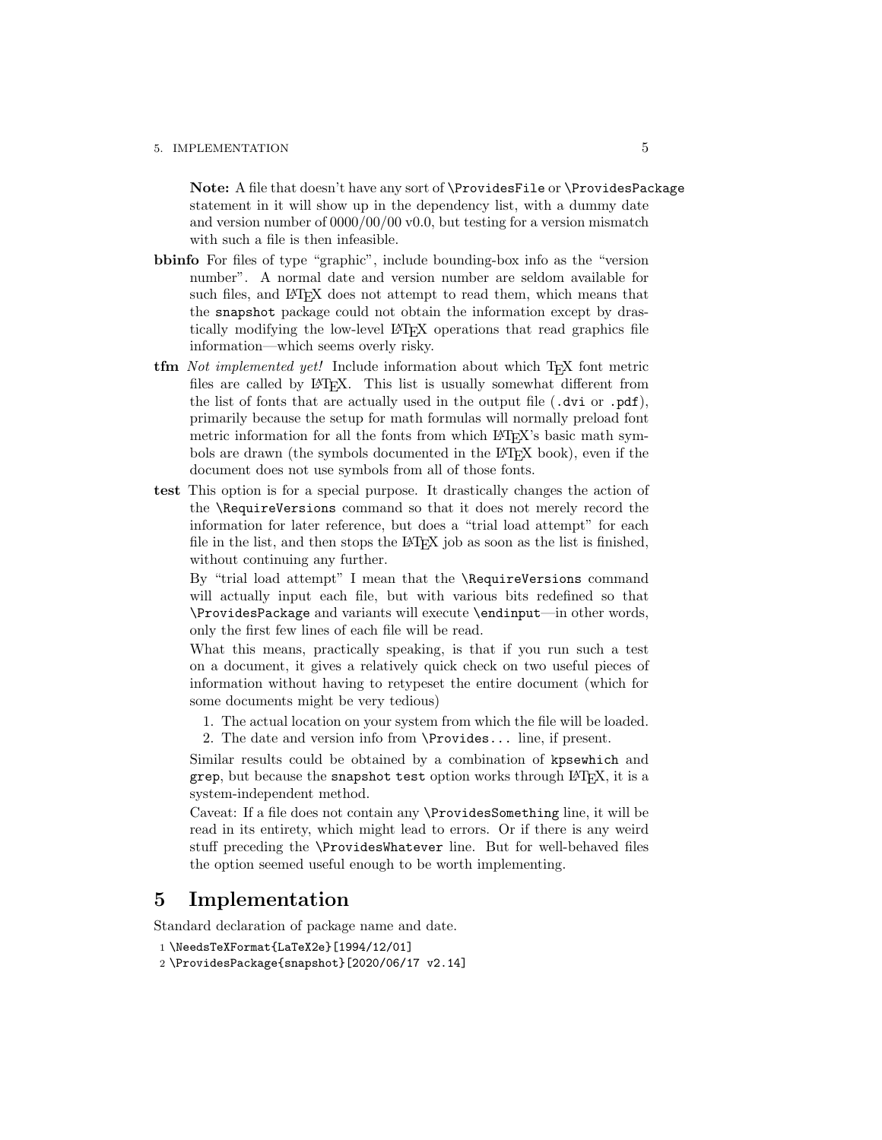### 5. IMPLEMENTATION 5

Note: A file that doesn't have any sort of \ProvidesFile or \ProvidesPackage statement in it will show up in the dependency list, with a dummy date and version number of 0000/00/00 v0.0, but testing for a version mismatch with such a file is then infeasible.

- bbinfo For files of type "graphic", include bounding-box info as the "version number". A normal date and version number are seldom available for such files, and LAT<sub>EX</sub> does not attempt to read them, which means that the snapshot package could not obtain the information except by drastically modifying the low-level LATEX operations that read graphics file information—which seems overly risky.
- **tfm** Not implemented yet! Include information about which  $T_{\text{F}}X$  font metric files are called by LAT<sub>EX</sub>. This list is usually somewhat different from the list of fonts that are actually used in the output file (.dvi or .pdf), primarily because the setup for math formulas will normally preload font metric information for all the fonts from which LAT<sub>E</sub>X's basic math symbols are drawn (the symbols documented in the L<sup>AT</sup>EX book), even if the document does not use symbols from all of those fonts.
- test This option is for a special purpose. It drastically changes the action of the \RequireVersions command so that it does not merely record the information for later reference, but does a "trial load attempt" for each file in the list, and then stops the LATEX job as soon as the list is finished, without continuing any further.

By "trial load attempt" I mean that the \RequireVersions command will actually input each file, but with various bits redefined so that \ProvidesPackage and variants will execute \endinput—in other words, only the first few lines of each file will be read.

What this means, practically speaking, is that if you run such a test on a document, it gives a relatively quick check on two useful pieces of information without having to retypeset the entire document (which for some documents might be very tedious)

- 1. The actual location on your system from which the file will be loaded.
- 2. The date and version info from \Provides... line, if present.

Similar results could be obtained by a combination of kpsewhich and grep, but because the snapshot test option works through LAT<sub>E</sub>X, it is a system-independent method.

Caveat: If a file does not contain any \ProvidesSomething line, it will be read in its entirety, which might lead to errors. Or if there is any weird stuff preceding the \ProvidesWhatever line. But for well-behaved files the option seemed useful enough to be worth implementing.

# <span id="page-4-0"></span>5 Implementation

Standard declaration of package name and date.

1 \NeedsTeXFormat{LaTeX2e}[1994/12/01]

<sup>2</sup> \ProvidesPackage{snapshot}[2020/06/17 v2.14]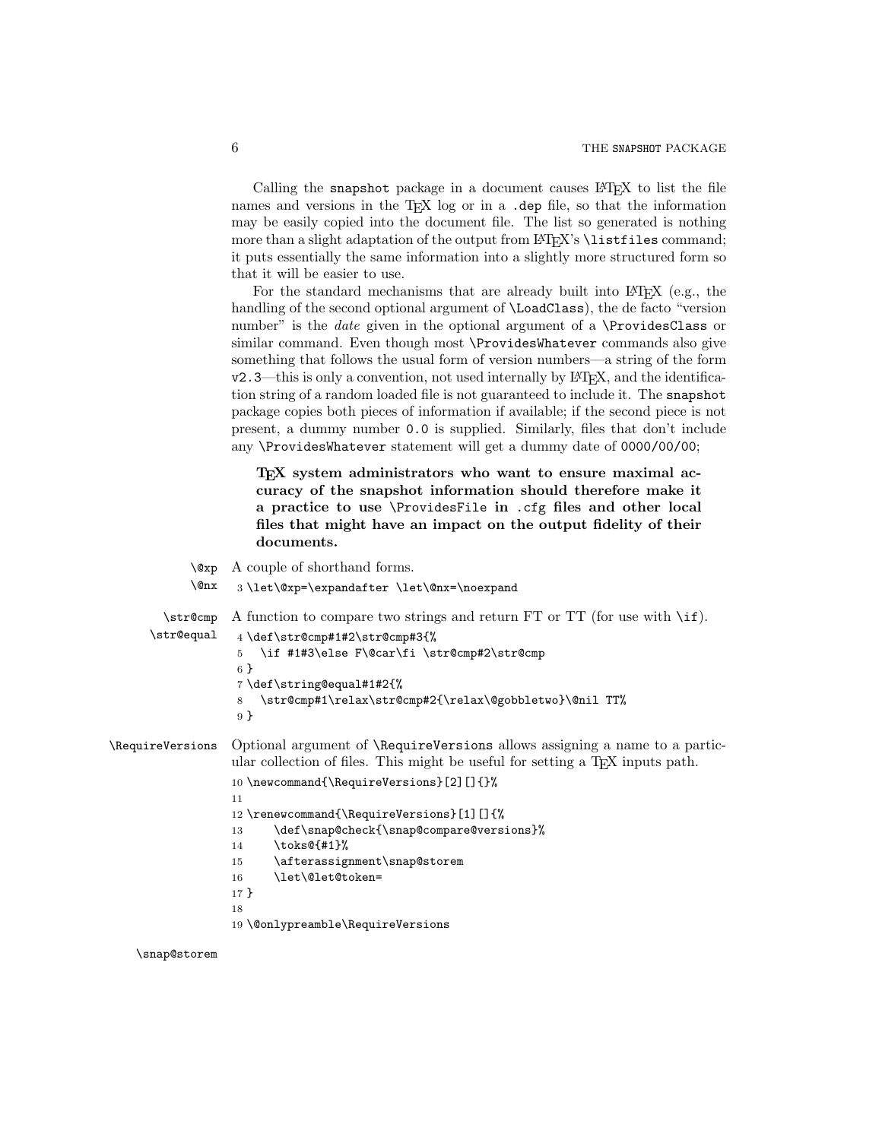Calling the snapshot package in a document causes LAT<sub>EX</sub> to list the file names and versions in the T<sub>EX</sub> log or in a .dep file, so that the information may be easily copied into the document file. The list so generated is nothing more than a slight adaptation of the output from LAT<sub>EX</sub>'s **\listfiles** command; it puts essentially the same information into a slightly more structured form so that it will be easier to use.

For the standard mechanisms that are already built into LAT<sub>EX</sub> (e.g., the handling of the second optional argument of  $\text{LaadClass}$ , the de facto "version number" is the *date* given in the optional argument of a  $\Per{ProvidesClass}$  or similar command. Even though most \ProvidesWhatever commands also give something that follows the usual form of version numbers—a string of the form  $v2.3$ —this is only a convention, not used internally by  $\angle$ ATEX, and the identification string of a random loaded file is not guaranteed to include it. The snapshot package copies both pieces of information if available; if the second piece is not present, a dummy number 0.0 is supplied. Similarly, files that don't include any \ProvidesWhatever statement will get a dummy date of 0000/00/00;

T<sub>E</sub>X system administrators who want to ensure maximal accuracy of the snapshot information should therefore make it a practice to use \ProvidesFile in .cfg files and other local files that might have an impact on the output fidelity of their documents.

- \@xp A couple of shorthand forms.
- \@nx 3 \let\@xp=\expandafter \let\@nx=\noexpand

```
\str@cmp
      \str@equal
                  A function to compare two strings and return FT or TT (for use with \if).
                   4 \def\str@cmp#1#2\str@cmp#3{%
                   5 \if #1#3\else F\@car\fi \str@cmp#2\str@cmp
                   6 }
                   7 \def\string@equal#1#2{%
                   8 \str@cmp#1\relax\str@cmp#2{\relax\@gobbletwo}\@nil TT%
                   9 }
\RequireVersions Optional argument of \RequireVersions allows assigning a name to a partic-
                  ular collection of files. This might be useful for setting a T<sub>E</sub>X inputs path.
                  10 \newcommand{\RequireVersions}[2][]{}%
                  11
                  12 \renewcommand{\RequireVersions}[1][]{%
                  13 \def\snap@check{\snap@compare@versions}%
                  14 \toks@{#1}%
                  15 \afterassignment\snap@storem
                  16 \let\@let@token=
                  17 }
                  18
                  19 \@onlypreamble\RequireVersions
```
\snap@storem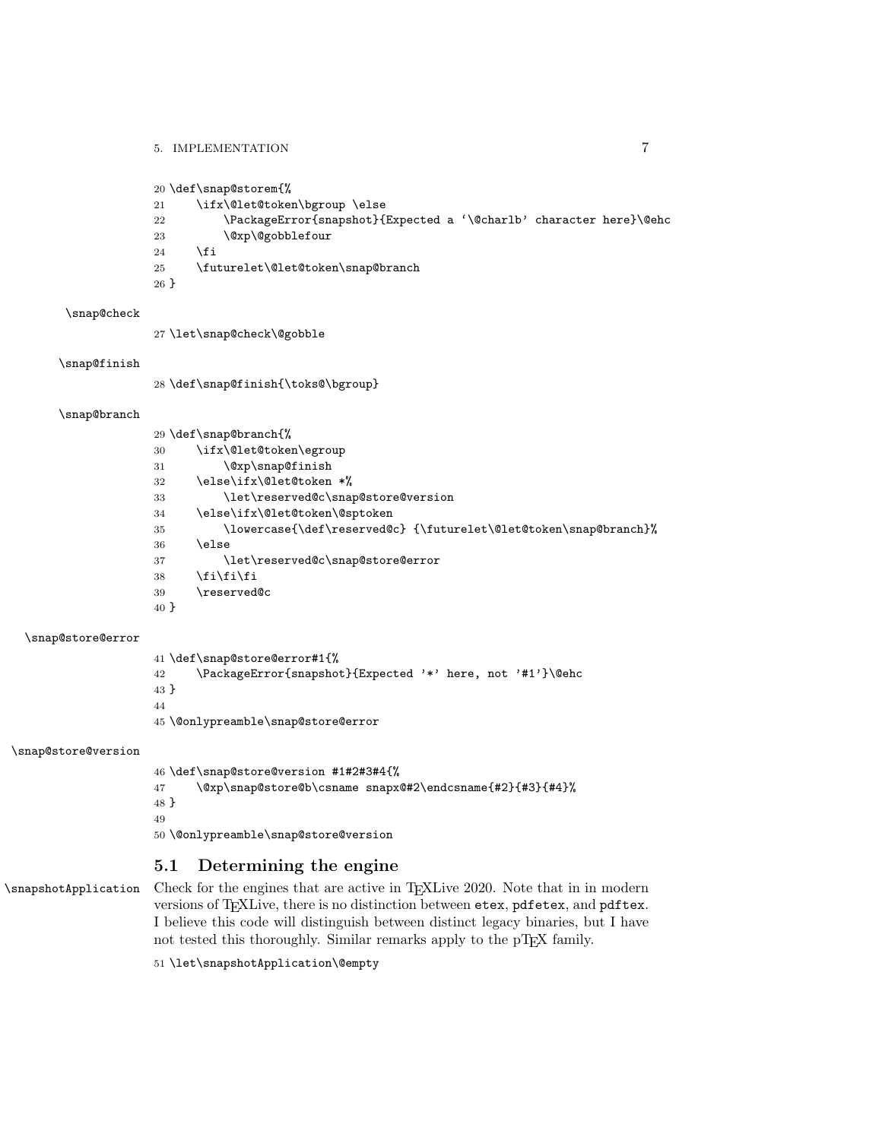\def\snap@storem{%

- \ifx\@let@token\bgroup \else
- \PackageError{snapshot}{Expected a '\@charlb' character here}\@ehc
- 23 \@xp\@gobblefour
- 24  $\overrightarrow{f}$
- \futurelet\@let@token\snap@branch
- }

#### \snap@check

\let\snap@check\@gobble

#### \snap@finish

\def\snap@finish{\toks@\bgroup}

#### \snap@branch

\def\snap@branch{%

| 30              | \ifx\@let@token\egroup                                           |
|-----------------|------------------------------------------------------------------|
| 31              | \@xp\snap@finish                                                 |
| 32              | \else\ifx\@let@token *%                                          |
| 33              | \let\reserved@c\snap@store@version                               |
| 34              | \else\ifx\@let@token\@sptoken                                    |
| 35              | \lowercase{\def\reserved@c} {\futurelet\@let@token\snap@branch}% |
| 36              | \else                                                            |
| 37              | \let\reserved@c\snap@store@error                                 |
| 38              | \fi\fi\fi                                                        |
| 39              | \reserved@c                                                      |
| 40 <sup>1</sup> |                                                                  |
|                 |                                                                  |

#### \snap@store@error

 \def\snap@store@error#1{% \PackageError{snapshot}{Expected '\*' here, not '#1'}\@ehc } \@onlypreamble\snap@store@error

#### \snap@store@version

 \def\snap@store@version #1#2#3#4{% \@xp\snap@store@b\csname snapx@#2\endcsname{#2}{#3}{#4}% } \@onlypreamble\snap@store@version

### <span id="page-6-0"></span>5.1 Determining the engine

\snapshotApplication Check for the engines that are active in TEXLive 2020. Note that in in modern versions of TEXLive, there is no distinction between etex, pdfetex, and pdftex. I believe this code will distinguish between distinct legacy binaries, but I have not tested this thoroughly. Similar remarks apply to the pTFX family.

\let\snapshotApplication\@empty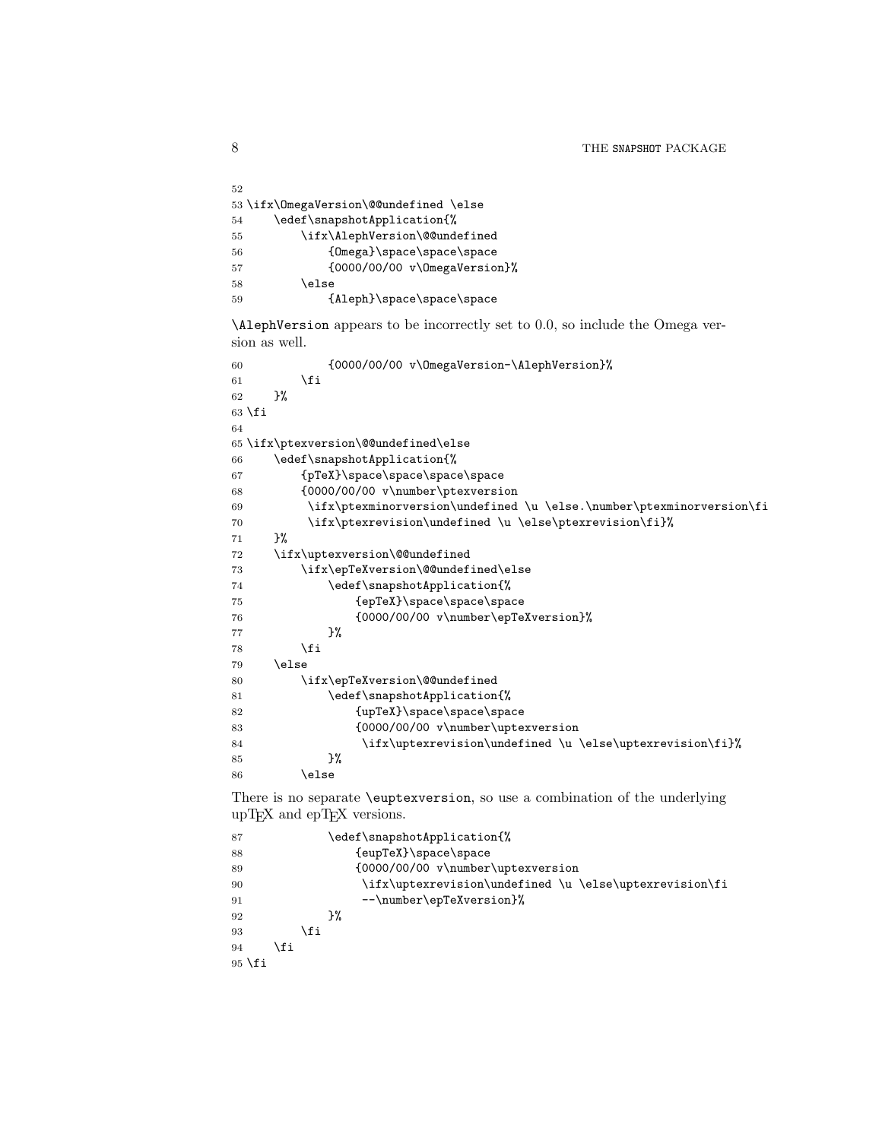| 52 |                                       |
|----|---------------------------------------|
|    | 53\ifx\OmegaVersion\@@undefined \else |
| 54 | \edef\snapshotApplication{%           |
| 55 | \ifx\AlephVersion\@@undefined         |
| 56 | {Omega}\space\space\space             |
| 57 | {0000/00/00 v\OmegaVersion}%          |
| 58 | \else                                 |
| 59 | {Aleph}\space\space\space             |

\AlephVersion appears to be incorrectly set to 0.0, so include the Omega version as well.

```
60 {0000/00/00 v\OmegaVersion-\AlephVersion}%
61 \over \{fi}62 }%
63 \fi
64
65 \ifx\ptexversion\@@undefined\else
66 \edef\snapshotApplication{%
67 {pTeX}\space\space\space\space\space
68 {0000/00/00 v\number\ptexversion
69 \if \ifx\ptexminorversion\undefined \u \else.\number\ptexminorversion\fi
70 \ifx\ptexrevision\undefined \u \else\ptexrevision\fi}%
71 }%
72 \ifx\uptexversion\@@undefined
73 \iint x\eepsilonTeXversion\@@undefined\else
74 \edef\snapshotApplication{%
75 {epTeX}\space\space\space
76 {0000/00/00 v\number\epTeXversion}%
77 }%
78 \setminusfi
79 \else
80 \ifx\epTeXversion\@@undefined
81 \edef\snapshotApplication{%
82 {upTeX}\space\space\space
83 {0000/00/00 v\number\uptexversion
84 \ifx\uptexrevision\undefined \u \else\uptexrevision\fi}%
85 }%
86 \else
```
There is no separate \euptexversion, so use a combination of the underlying upTEX and epTEX versions.

```
87 \edef\snapshotApplication{%
88 			 {eupTeX}\space\space
89 {0000/00/00 v\number\uptexversion
90 \ifx\uptexrevision\undefined \u \else\uptexrevision\fi
91 -- \number\epTeXversion}%
92 }%
93 \qquad \qquad \fi
94 \fi
95 \fi
```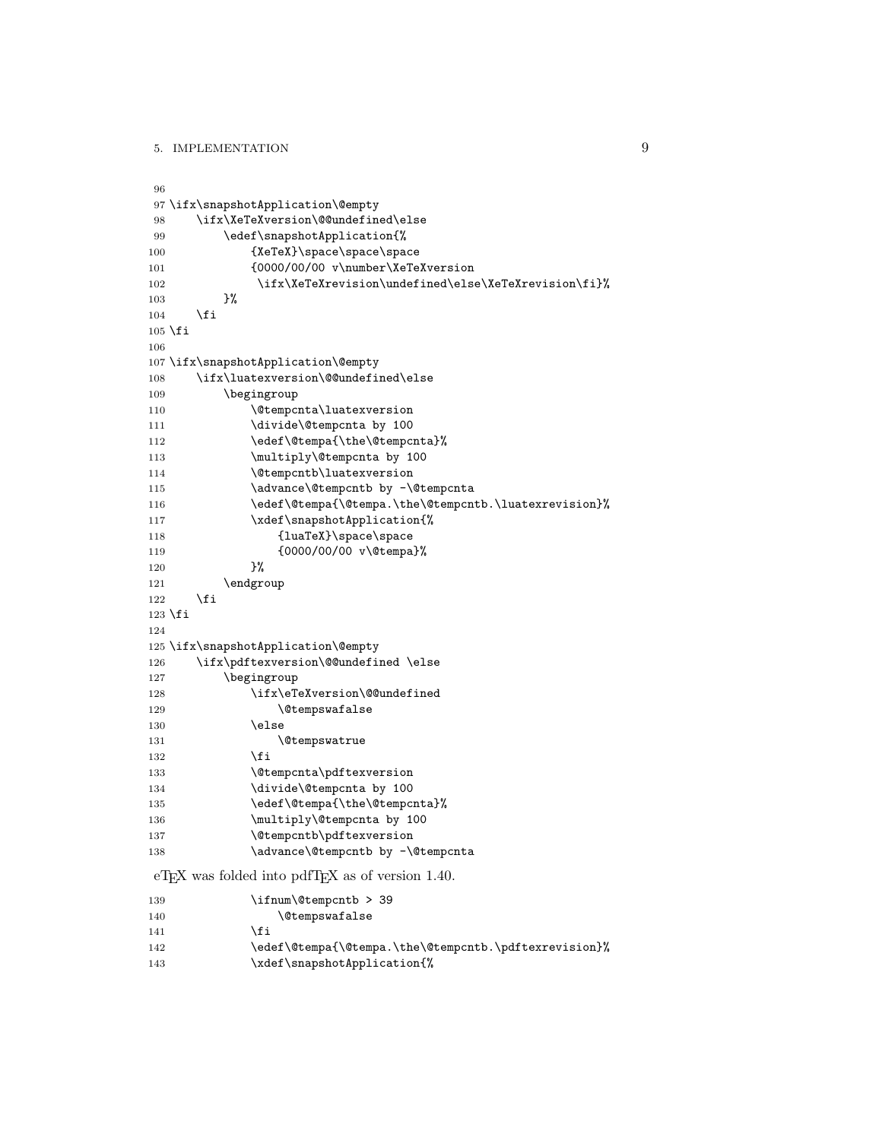```
96
97 \ifx\snapshotApplication\@empty
98 \ifx\XeTeXversion\@@undefined\else
99 \edef\snapshotApplication{%
100 {XeTeX}\space\space\space
101 {0000/00/00 v\number\XeTeXversion
102 \ifx\XeTeXrevision\undefined\else\XeTeXrevision\fi}%
103 }%
104 \fi
105 \fi
106
107 \ifx\snapshotApplication\@empty
108 \ifx\luatexversion\@@undefined\else
109 \begingroup
110 \@tempcnta\luatexversion
111 \divide\@tempcnta by 100
112 \edef\@tempa{\the\@tempcnta}%
113 \multiply\@tempcnta by 100
114 \@tempcntb\luatexversion
115 \advance\@tempcntb by -\@tempcnta
116 \edef\@tempa{\@tempa.\the\@tempcntb.\luatexrevision}%
117 \xdef\snapshotApplication{%
118 {luaTeX}\space\space
119 {0000/00/00 \text{ v\text{etempa}}\%120 } }121 \endgroup
122 \fi
123 \fi
124
125 \ifx\snapshotApplication\@empty
126 \ifx\pdftexversion\@@undefined \else
127 \begingroup
128 \ifx\eTeXversion\@@undefined
129 \@tempswafalse
130 \else
131 \@tempswatrue
132 \qquad \qquad \text{if }133 \@tempcnta\pdftexversion
134 \divide\@tempcnta by 100
135 \edef\@tempa{\the\@tempcnta}%
136 \multiply\@tempcnta by 100
137 \@tempcntb\pdftexversion
138 \advance\@tempcntb by -\@tempcnta
eT<sub>E</sub>X was folded into pdfT<sub>E</sub>X as of version 1.40.
```

| 139 | \ifnum\@tempcntb > 39                                 |
|-----|-------------------------------------------------------|
| 140 | <b>\@tempswafalse</b>                                 |
| 141 | ∖fi                                                   |
| 142 | \edef\@tempa{\@tempa.\the\@tempcntb.\pdftexrevision}% |
| 143 | \xdef\snapshotApplication{%                           |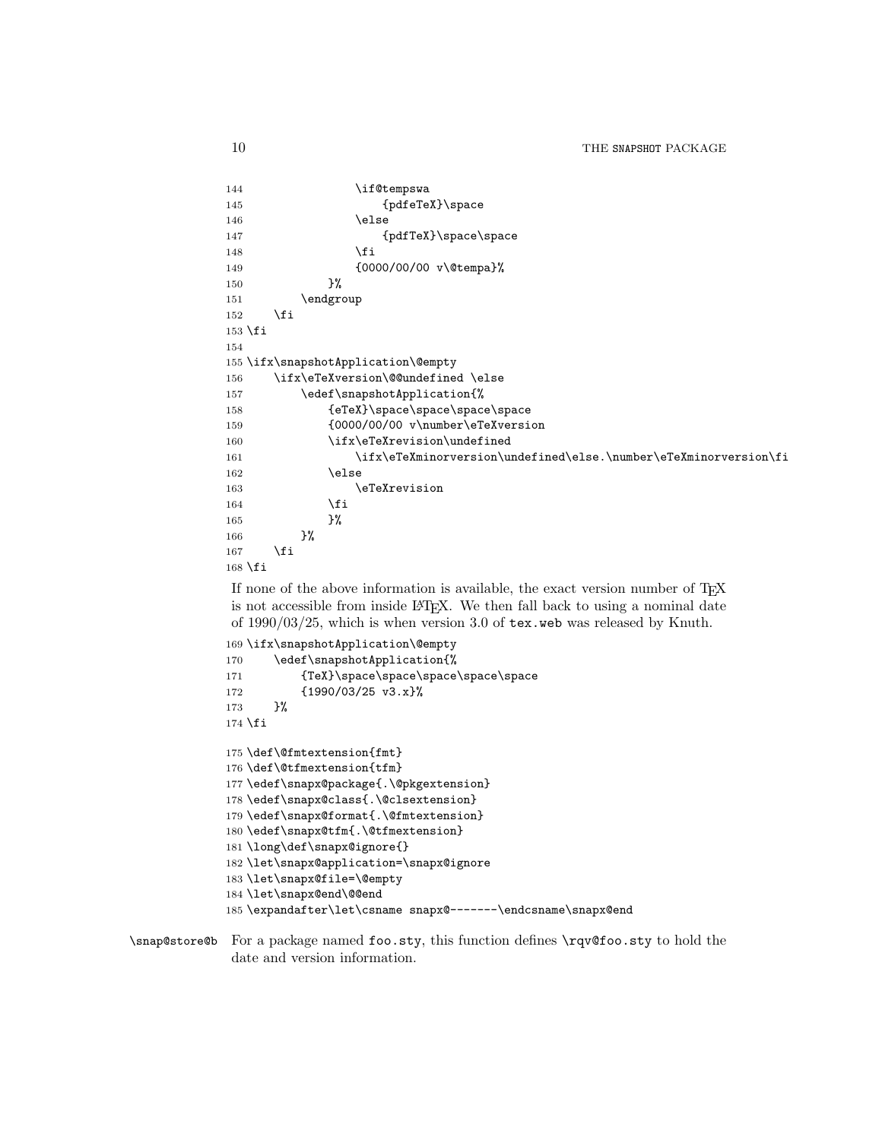```
144 \if@tempswa
145 {pdfeTeX}\space
146 \else
147 {pdfTeX}\space\space
148 \overline{)} \fi
149 {0000/00/00 \text{ v\text{etempa}}\%150 }%
151 \endgroup
152 \fi
153 \fi
154
155 \ifx\snapshotApplication\@empty
156 \ifx\eTeXversion\@@undefined \else
157 \edef\snapshotApplication{%
158 {eTeX}\space\space\space\space
159 {0000/00/00 v\number\eTeXversion
160 \ifx\eTeXrevision\undefined
161 \ifx\eTeXminorversion\undefined\else.\number\eTeXminorversion\fi
162 \text{le}163 \eTeXrevision
164 \overline{\phantom{a}} \fi
165 }%
166 }%
167 \fi
168 \fi
```
If none of the above information is available, the exact version number of TEX is not accessible from inside LATEX. We then fall back to using a nominal date of 1990/03/25, which is when version 3.0 of tex.web was released by Knuth.

```
169 \ifx\snapshotApplication\@empty
170 \edef\snapshotApplication{%
171 {TeX}\space\space\space\space\space\space\space\space\space\space\space\space
172 {1990/03/25 v3.x}%
173 }%
174 \fi
175 \def\@fmtextension{fmt}
176 \def\@tfmextension{tfm}
177 \edef\snapx@package{.\@pkgextension}
178 \edef\snapx@class{.\@clsextension}
179 \edef\snapx@format{.\@fmtextension}
180 \edef\snapx@tfm{.\@tfmextension}
181 \long\def\snapx@ignore{}
182 \let\snapx@application=\snapx@ignore
183 \let\snapx@file=\@empty
184 \let\snapx@end\@@end
185 \expandafter\let\csname snapx@-------\endcsname\snapx@end
```
<sup>\</sup>snap@store@b For a package named foo.sty, this function defines \rqv@foo.sty to hold the date and version information.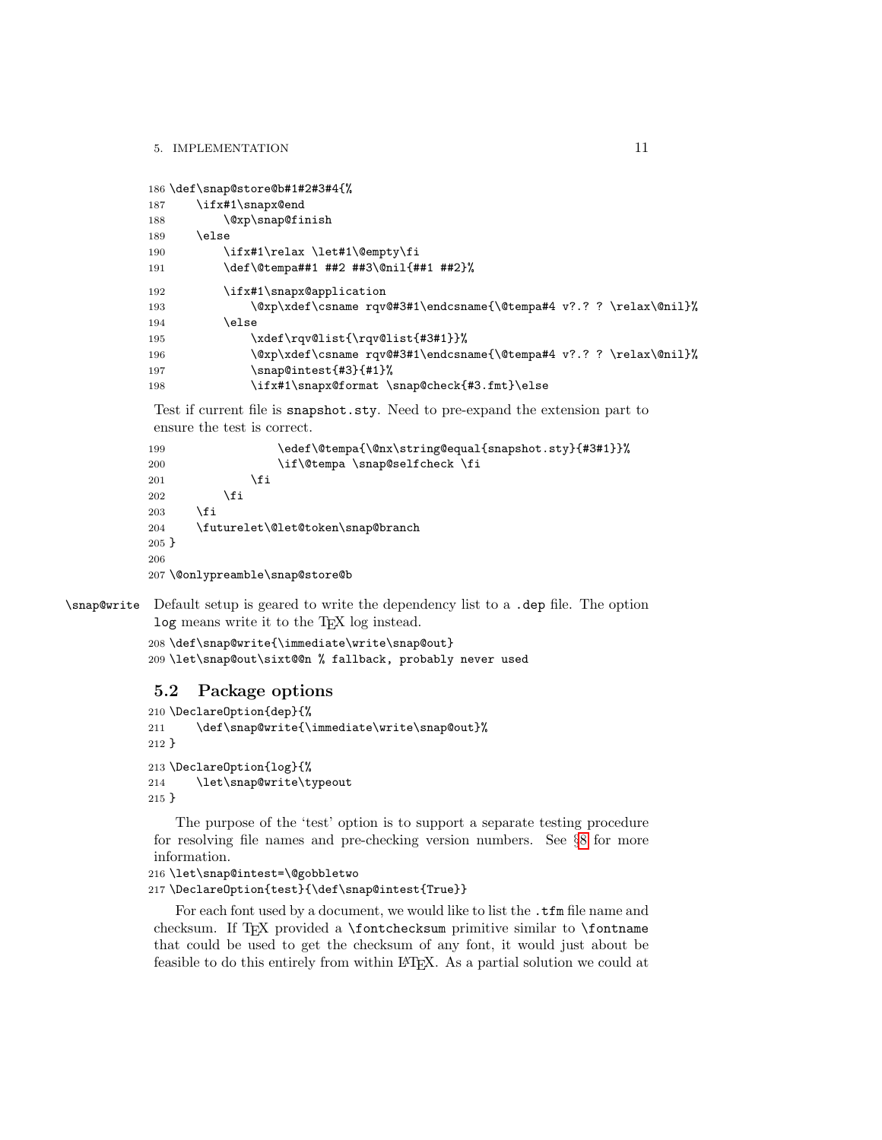```
186 \def\snap@store@b#1#2#3#4{%
```

| 187 | \ifx#1\snapx@end                                                   |
|-----|--------------------------------------------------------------------|
| 188 | \@xp\snap@finish                                                   |
| 189 | \else                                                              |
| 190 | \ifx#1\relax \let#1\@empty\fi                                      |
| 191 | \def\@tempa##1 ##2 ##3\@nil{##1 ##2}%                              |
| 192 | \ifx#1\snapx@application                                           |
| 193 | \@xp\xdef\csname rqv@#3#1\endcsname{\@tempa#4 v?.? ? \relax\@nil}% |
| 194 | \else                                                              |
| 195 | \xdef\rqv@list{\rqv@list{#3#1}}%                                   |
| 196 | \@xp\xdef\csname rqv@#3#1\endcsname{\@tempa#4 v?.? ? \relax\@nil}% |
| 197 | \snap@intest{#3}{#1}%                                              |
| 198 | \ifx#1\snapx@format \snap@check{#3.fmt}\else                       |

Test if current file is snapshot.sty. Need to pre-expand the extension part to ensure the test is correct.

```
199 \edef\@tempa{\@nx\string@equal{snapshot.sty}{#3#1}}%
200 \if\@tempa \snap@selfcheck \fi
201 \qquad \qquad \fi
202 \qquad \qquad \text{if i}203 \setminusfi
204 \futurelet\@let@token\snap@branch
205 }
206
207 \@onlypreamble\snap@store@b
```
\snap@write Default setup is geared to write the dependency list to a .dep file. The option log means write it to the T<sub>E</sub>X log instead.

```
208 \def\snap@write{\immediate\write\snap@out}
209 \let\snap@out\sixt@@n % fallback, probably never used
```
# <span id="page-10-0"></span>5.2 Package options

```
210 \DeclareOption{dep}{%
211 \def\snap@write{\immediate\write\snap@out}%
212 }
213 \DeclareOption{log}{%
214 \let\snap@write\typeout
215 }
```
The purpose of the 'test' option is to support a separate testing procedure for resolving file names and pre-checking version numbers. See §[8](#page-20-2) for more information.

```
216 \let\snap@intest=\@gobbletwo
```

```
217 \DeclareOption{test}{\def\snap@intest{True}}
```
For each font used by a document, we would like to list the .tfm file name and checksum. If TFX provided a \fontchecksum primitive similar to \fontname that could be used to get the checksum of any font, it would just about be feasible to do this entirely from within LAT<sub>EX</sub>. As a partial solution we could at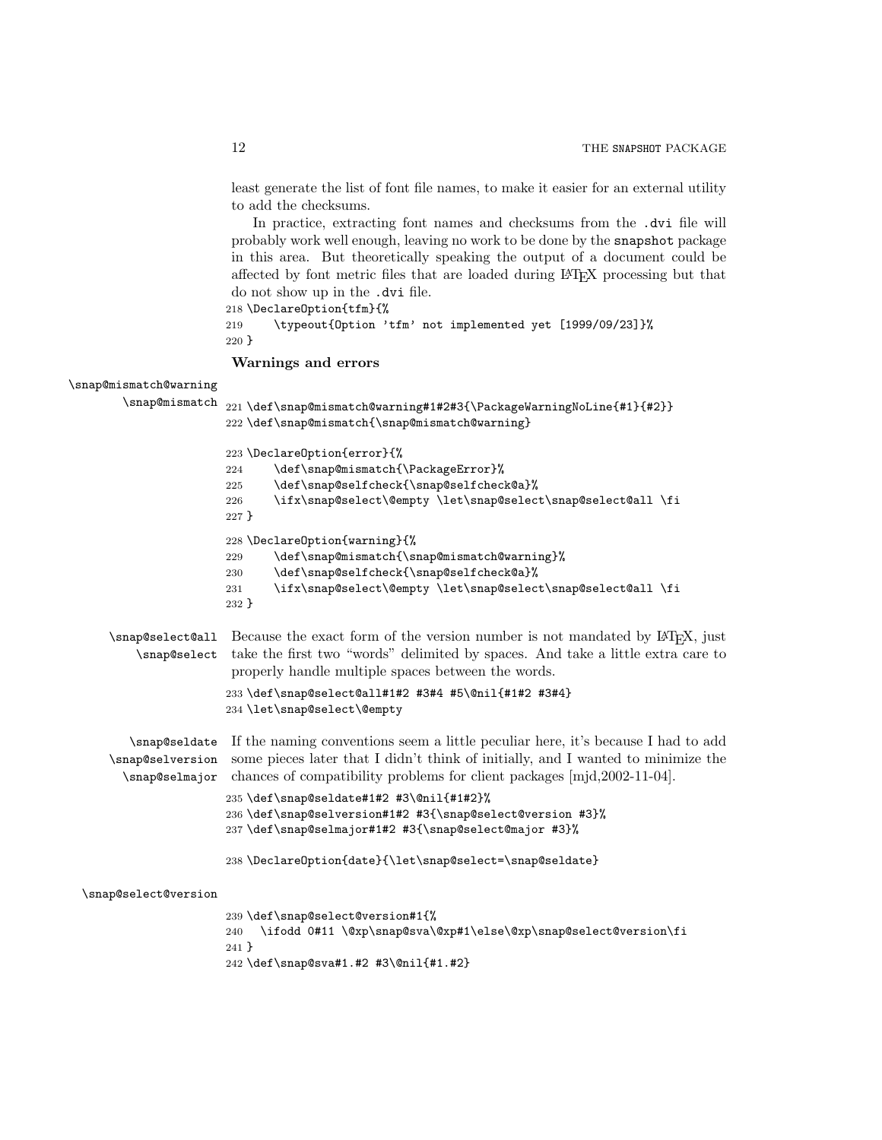least generate the list of font file names, to make it easier for an external utility to add the checksums.

In practice, extracting font names and checksums from the .dvi file will probably work well enough, leaving no work to be done by the snapshot package in this area. But theoretically speaking the output of a document could be affected by font metric files that are loaded during LATEX processing but that do not show up in the .dvi file.

```
218 \DeclareOption{tfm}{%
```

```
219 \typeout{Option 'tfm' not implemented yet [1999/09/23]}%
220 }
```
Warnings and errors

```
\snap@mismatch@warning
```
 $\verb|\span@mismatch |_221 \def\span@mismatch@warning#1#2#3{\PackacakeWarningNoLine{#1}{#2}}$ 222 \def\snap@mismatch{\snap@mismatch@warning} 223 \DeclareOption{error}{% 224 \def\snap@mismatch{\PackageError}%

225 \def\snap@selfcheck{\snap@selfcheck@a}%

- 226 \ifx\snap@select\@empty \let\snap@select\snap@select@all \fi
- 227 }

```
228 \DeclareOption{warning}{%
```

```
229 \def\snap@mismatch{\snap@mismatch@warning}%
```
230 \def\snap@selfcheck{\snap@selfcheck@a}%

```
231 \ifx\snap@select\@empty \let\snap@select\snap@select@all \fi
```
232 }

\snap@select@all Because the exact form of the version number is not mandated by LATEX, just \snap@select take the first two "words" delimited by spaces. And take a little extra care to properly handle multiple spaces between the words.

```
233 \def\snap@select@all#1#2 #3#4 #5\@nil{#1#2 #3#4}
234 \let\snap@select\@empty
```
\snap@seldate If the naming conventions seem a little peculiar here, it's because I had to add \snap@selversion some pieces later that I didn't think of initially, and I wanted to minimize the \snap@selmajor chances of compatibility problems for client packages [mjd,2002-11-04].

```
235 \def\snap@seldate#1#2 #3\@nil{#1#2}%
236 \def\snap@selversion#1#2 #3{\snap@select@version #3}%
237 \def\snap@selmajor#1#2 #3{\snap@select@major #3}%
```
238 \DeclareOption{date}{\let\snap@select=\snap@seldate}

\snap@select@version

```
239 \def\snap@select@version#1{%
240 \ifodd 0#11 \@xp\snap@sva\@xp#1\else\@xp\snap@select@version\fi
241 }
242 \def\snap@sva#1.#2 #3\@nil{#1.#2}
```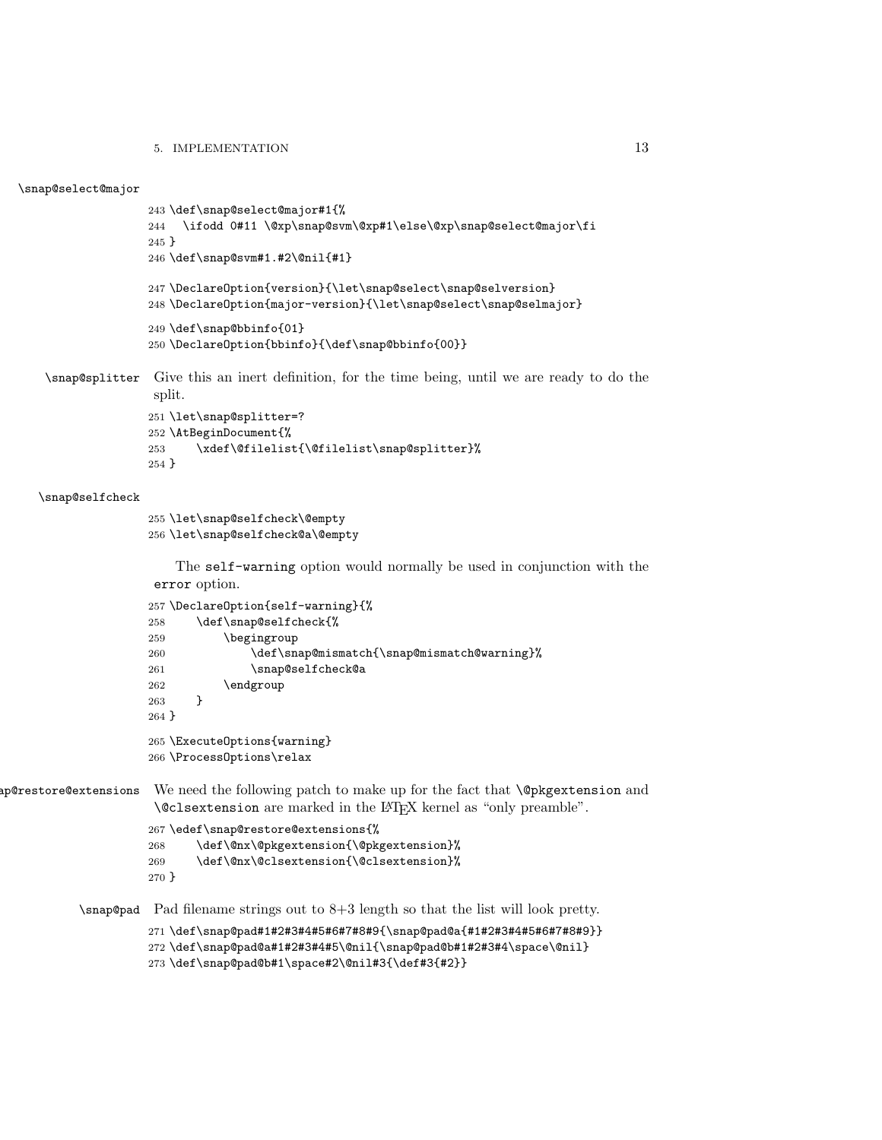#### 5. IMPLEMENTATION 13

#### \snap@select@major

```
243 \def\snap@select@major#1{%
244 \ifodd 0#11 \@xp\snap@svm\@xp#1\else\@xp\snap@select@major\fi
245 }
246 \def\snap@svm#1.#2\@nil{#1}
247 \DeclareOption{version}{\let\snap@select\snap@selversion}
248 \DeclareOption{major-version}{\let\snap@select\snap@selmajor}
249 \def\snap@bbinfo{01}
250 \DeclareOption{bbinfo}{\def\snap@bbinfo{00}}
```
\snap@splitter Give this an inert definition, for the time being, until we are ready to do the split.

```
251 \let\snap@splitter=?
252 \AtBeginDocument{%
253 \xdef\@filelist{\@filelist\snap@splitter}%
254 }
```
#### \snap@selfcheck

```
255 \let\snap@selfcheck\@empty
256 \let\snap@selfcheck@a\@empty
```
The self-warning option would normally be used in conjunction with the error option.

```
257 \DeclareOption{self-warning}{%
258 \def\snap@selfcheck{%
259 \begingroup
260 \def\snap@mismatch{\snap@mismatch@warning}%
261 \snap@selfcheck@a
262 \endgroup
263 }
264 }
265 \ExecuteOptions{warning}
```

```
266 \ProcessOptions\relax
```
### ap@restore@extensions We need the following patch to make up for the fact that \@pkgextension and \@clsextension are marked in the LATEX kernel as "only preamble".

```
267 \edef\snap@restore@extensions{%
268 \def\@nx\@pkgextension{\@pkgextension}%
269 \def\@nx\@clsextension{\@clsextension}%
270 }
```
\snap@pad Pad filename strings out to 8+3 length so that the list will look pretty.

```
271 \def\snap@pad#1#2#3#4#5#6#7#8#9{\snap@pad@a{#1#2#3#4#5#6#7#8#9}}
272 \def\snap@pad@a#1#2#3#4#5\@nil{\snap@pad@b#1#2#3#4\space\@nil}
```

```
273 \def\snap@pad@b#1\space#2\@nil#3{\def#3{#2}}
```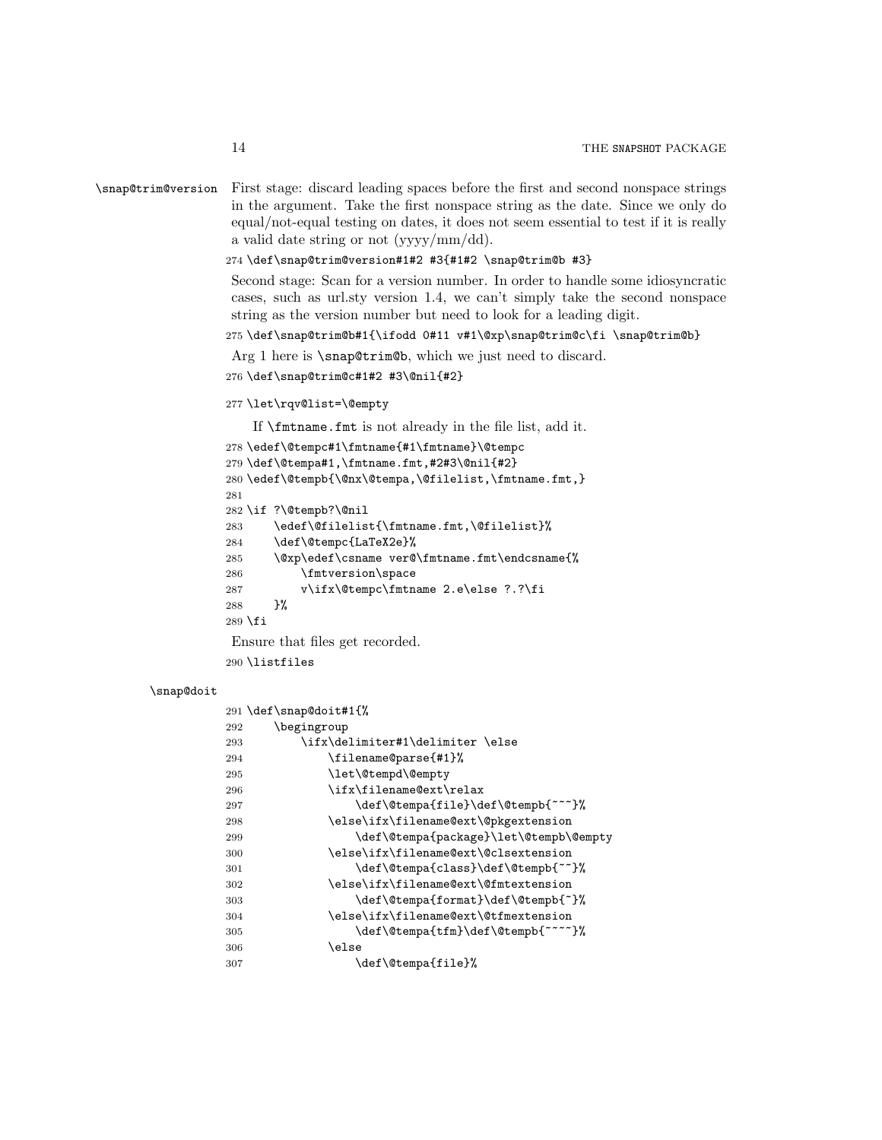\snap@trim@version First stage: discard leading spaces before the first and second nonspace strings in the argument. Take the first nonspace string as the date. Since we only do equal/not-equal testing on dates, it does not seem essential to test if it is really a valid date string or not (yyyy/mm/dd).

\def\snap@trim@version#1#2 #3{#1#2 \snap@trim@b #3}

Second stage: Scan for a version number. In order to handle some idiosyncratic cases, such as url.sty version 1.4, we can't simply take the second nonspace string as the version number but need to look for a leading digit.

\def\snap@trim@b#1{\ifodd 0#11 v#1\@xp\snap@trim@c\fi \snap@trim@b}

Arg 1 here is \snap@trim@b, which we just need to discard.

```
276 \def\snap@trim@c#1#2 #3\@nil{#2}
```
### \let\rqv@list=\@empty

If \fmtname.fmt is not already in the file list, add it.

```
278 \edef\@tempc#1\fmtname{#1\fmtname}\@tempc
279 \def\@tempa#1,\fmtname.fmt,#2#3\@nil{#2}
280 \edef\@tempb{\@nx\@tempa,\@filelist,\fmtname.fmt,}
281
282 \if ?\@tempb?\@nil
283 \edef\@filelist{\fmtname.fmt,\@filelist}%
284 \def\@tempc{LaTeX2e}%
285 \@xp\edef\csname ver@\fmtname.fmt\endcsname{%
286 \fmtversion\space
287 v\ifx\@tempc\fmtname 2.e\else ?.?\fi
288 }%
289 \fi
```
Ensure that files get recorded.

\listfiles

#### \snap@doit

|     | 291 \def\snap@doit#1{%                 |
|-----|----------------------------------------|
| 292 | \begingroup                            |
| 293 | \ifx\delimiter#1\delimiter \else       |
| 294 | \filename@parse{#1}%                   |
| 295 | \let\@tempd\@empty                     |
| 296 | \ifx\filename@ext\relax                |
| 297 | \def\@tempa{file}\def\@tempb{~~~}%     |
| 298 | \else\ifx\filename@ext\@pkgextension   |
| 299 | \def\@tempa{package}\let\@tempb\@empty |
| 300 | \else\ifx\filename@ext\@clsextension   |
| 301 | \def\@tempa{class}\def\@tempb{~~}%     |
| 302 | \else\ifx\filename@ext\@fmtextension   |
| 303 | \def\@tempa{format}\def\@tempb{~}%     |
| 304 | \else\ifx\filename@ext\@tfmextension   |
| 305 | \def\@tempa{tfm}\def\@tempb{~~~~}%     |
| 306 | \else                                  |
| 307 | \def\@tempa{file}%                     |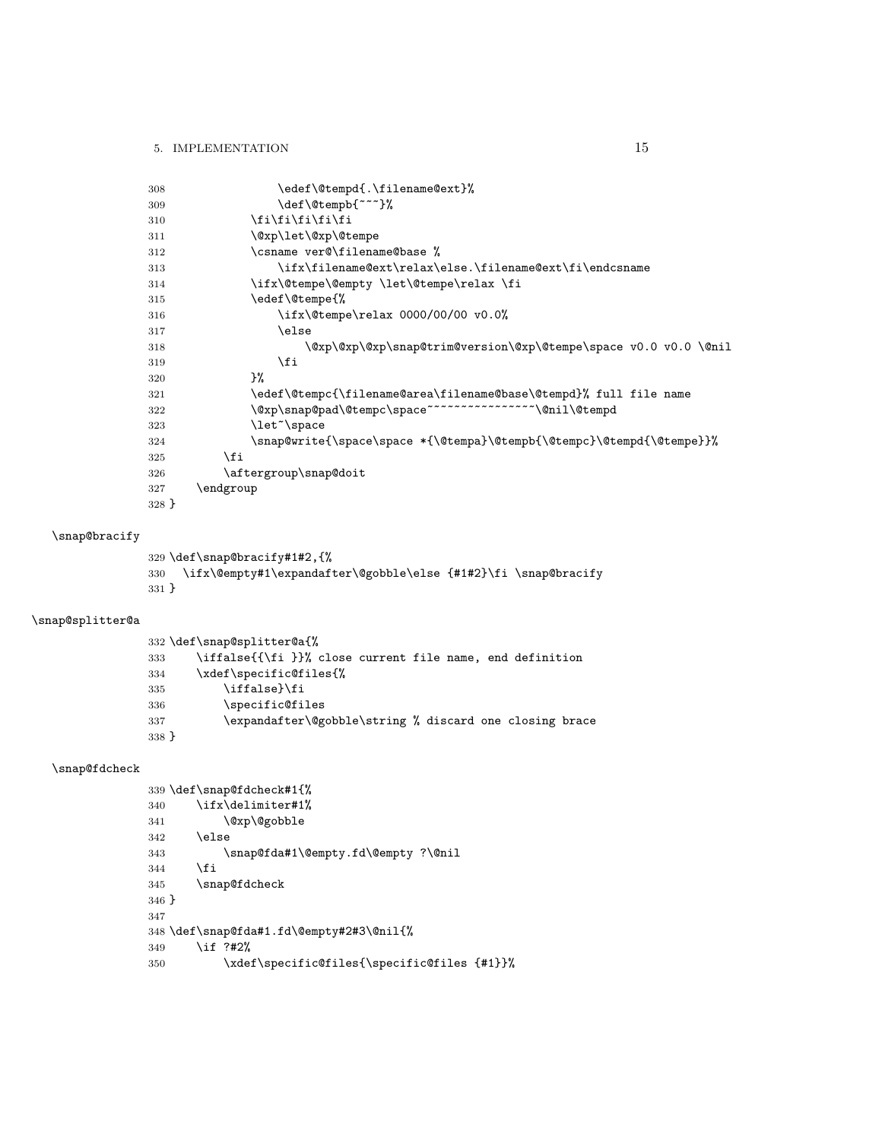| \edef\@tempd{.\filename@ext}%                                         |
|-----------------------------------------------------------------------|
| \def\@tempb{~~~}%                                                     |
| \fi\fi\fi\fi\fi                                                       |
| \@xp\let\@xp\@tempe                                                   |
| \csname ver@\filename@base %                                          |
| \ifx\filename@ext\relax\else.\filename@ext\fi\endcsname               |
| \ifx\@tempe\@empty \let\@tempe\relax \fi                              |
| \edef\@tempe{%                                                        |
| $\ifx\@tempe\relax 0000/00/00 v0.0%$                                  |
| \else                                                                 |
| \@xp\@xp\@xp\snap@trim@version\@xp\@tempe\space v0.0 v0.0 \@nil       |
| \fi                                                                   |
| }‰                                                                    |
| \edef\@tempc{\filename@area\filename@base\@tempd}% full file name     |
| \@xp\snap@pad\@tempc\space~~~~~~~~~~~~~~~~\@nil\@tempd                |
| \let <sup>~</sup> \space                                              |
| \snap@write{\space\space *{\@tempa}\@tempb{\@tempc}\@tempd{\@tempe}}% |
| \fi                                                                   |
| \aftergroup\snap@doit                                                 |
| \endgroup                                                             |
|                                                                       |
|                                                                       |

### \snap@bracify

```
329 \def\snap@bracify#1#2,{%
330 \ifx\@empty#1\expandafter\@gobble\else {#1#2}\fi \snap@bracify
331 }
```
### \snap@splitter@a

|         | 332 \def\snap@splitter@a{%                                |
|---------|-----------------------------------------------------------|
| 333     | \iffalse{{\fi }}% close current file name, end definition |
| 334     | \xdef\specific@files{%                                    |
| 335     | \iffalse}\fi                                              |
| 336     | \specific@files                                           |
| 337     | \expandafter\@gobble\string % discard one closing brace   |
| $338$ } |                                                           |

### \snap@fdcheck

```
339 \def\snap@fdcheck#1{%
340 \ifx\delimiter#1%
341 \@xp\@gobble
342 \else<br>343 \s
           \snap@fda#1\@empty.fd\@empty ?\@nil
344 \overrightarrow{f}345 \snap@fdcheck
346 }
347
348 \def\snap@fda#1.fd\@empty#2#3\@nil{%
349 \if ?#2%
350 \xdef\specific@files{\specific@files {#1}}%
```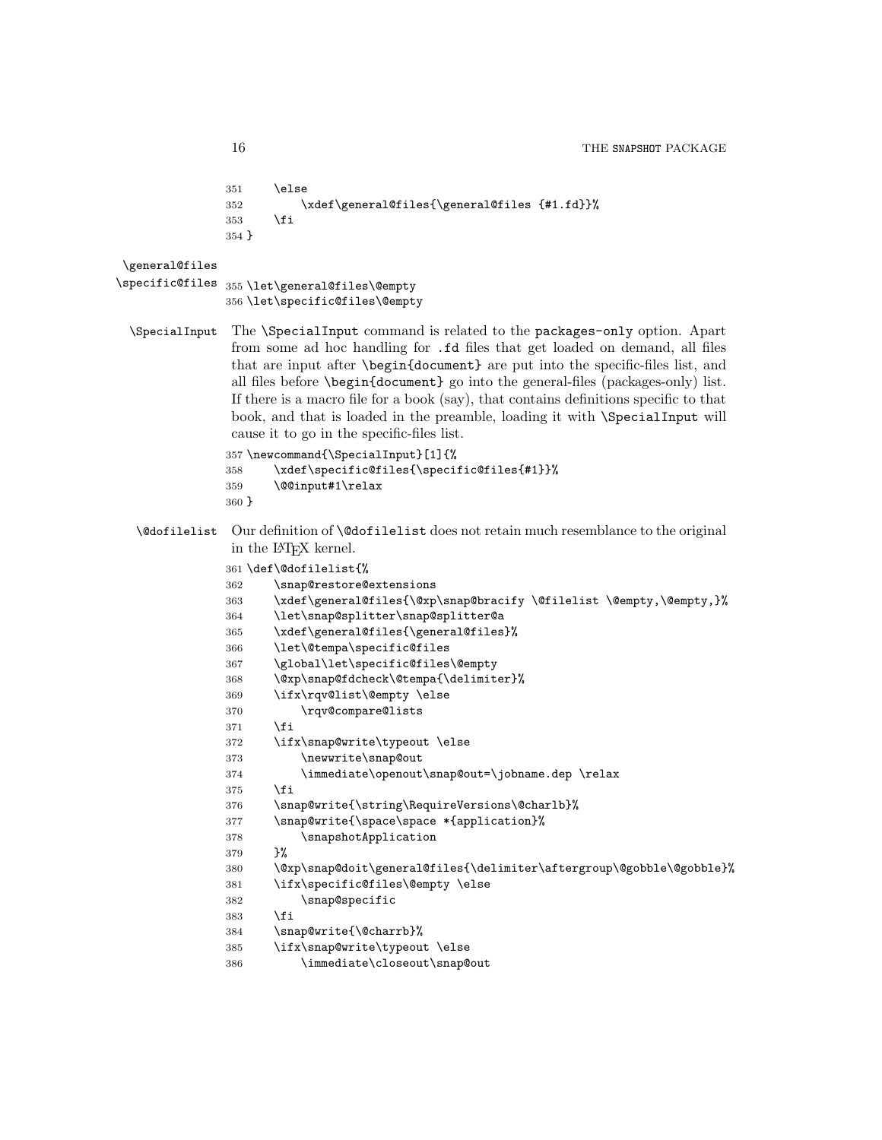```
351 \lambdaelse
352 \xdef\general@files{\general@files {#1.fd}}%
353 \fi
354 }
```
\general@files

\specific@files <sup>355</sup> \let\general@files\@empty \let\specific@files\@empty

\SpecialInput The \SpecialInput command is related to the packages-only option. Apart from some ad hoc handling for .fd files that get loaded on demand, all files that are input after \begin{document} are put into the specific-files list, and all files before \begin{document} go into the general-files (packages-only) list. If there is a macro file for a book (say), that contains definitions specific to that book, and that is loaded in the preamble, loading it with \SpecialInput will cause it to go in the specific-files list.

```
357 \newcommand{\SpecialInput}[1]{%
358 \xdef\specific@files{\specific@files{#1}}%
359 \@@input#1\relax
360 }
```
\@dofilelist Our definition of \@dofilelist does not retain much resemblance to the original in the LATEX kernel.

```
361 \def\@dofilelist{%
```

```
362 \snap@restore@extensions
363 \xdef\general@files{\@xp\snap@bracify \@filelist \@empty,\@empty,}%
364 \let\snap@splitter\snap@splitter@a
365 \xdef\general@files{\general@files}%
366 \let\@tempa\specific@files
367 \global\let\specific@files\@empty
368 \@xp\snap@fdcheck\@tempa{\delimiter}%
369 \ifx\rqv@list\@empty \else
370 \rqv@compare@lists
371 \fi
372 \ifx\snap@write\typeout \else
373 \newwrite\snap@out
374 \immediate\openout\snap@out=\jobname.dep \relax
375 \fi
376 \snap@write{\string\RequireVersions\@charlb}%
377 \snap@write{\space\space *{application}%
378 \snapshotApplication
379 }%
380 \@xp\snap@doit\general@files{\delimiter\aftergroup\@gobble\@gobble}%
381 \ifx\specific@files\@empty \else
382 \snap@specific
383 \fi
384 \snap@write{\@charrb}%
385 \ifx\snap@write\typeout \else
386 \immediate\closeout\snap@out
```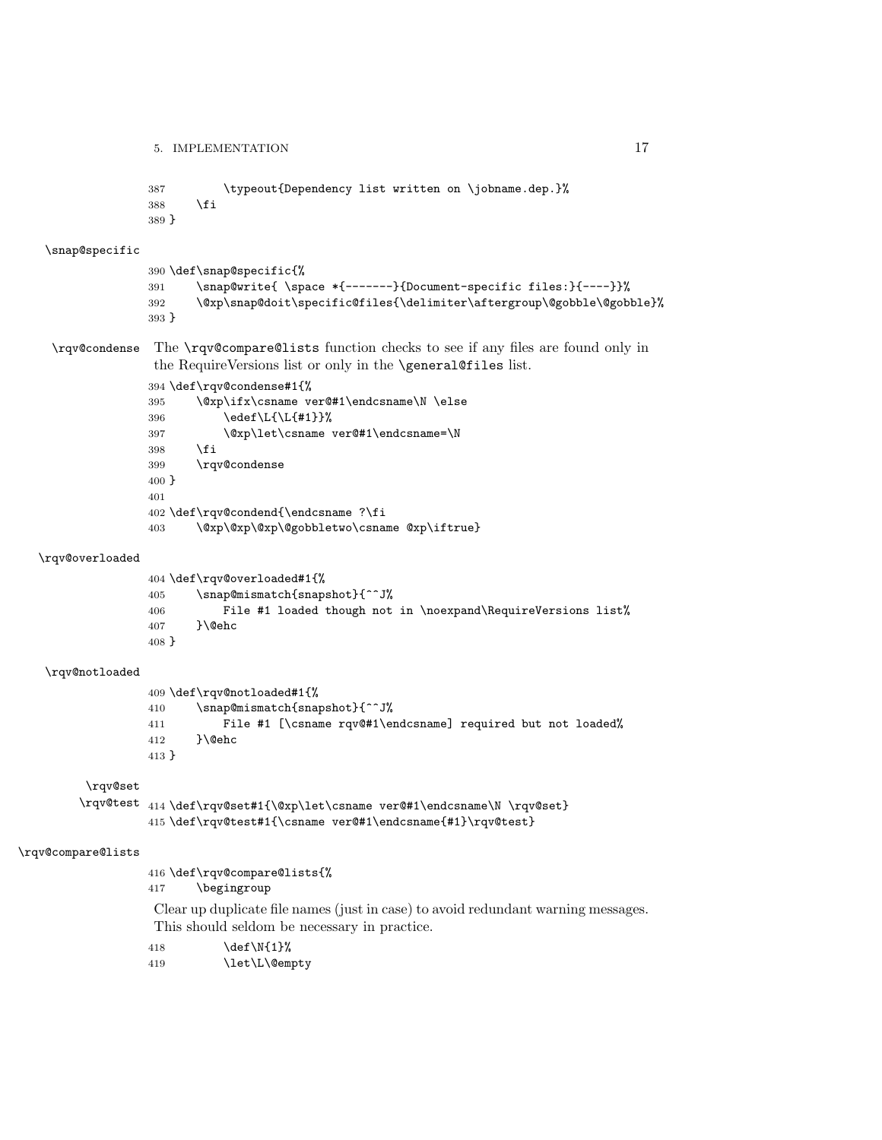5. IMPLEMENTATION 17

```
387 \typeout{Dependency list written on \jobname.dep.}%
388 \fi
389 }
```
#### \snap@specific

```
390 \def\snap@specific{%
391 \snap@write{ \space *{-------}{Document-specific files:}{----}}%
392 \@xp\snap@doit\specific@files{\delimiter\aftergroup\@gobble\@gobble}%
393 }
```
\rqv@condense The \rqv@compare@lists function checks to see if any files are found only in the RequireVersions list or only in the \general@files list.

```
394 \def\rqv@condense#1{%
395 \@xp\ifx\csname ver@#1\endcsname\N \else
396 \edef\L{\L{#1}}%
397 \@xp\let\csname ver@#1\endcsname=\N
398 \fi
399 \rqv@condense
400 }
401
402 \def\rqv@condend{\endcsname ?\fi
403 \@xp\@xp\@xp\@gobbletwo\csname @xp\iftrue}
```
#### \rqv@overloaded

 \def\rqv@overloaded#1{% \snap@mismatch{snapshot}{^^J% File #1 loaded though not in \noexpand\RequireVersions list% }\@ehc }

#### \rqv@notloaded

```
409 \def\rqv@notloaded#1{%
410 \snap@mismatch{snapshot}{^^J%
411 File #1 [\csname rqv@#1\endcsname] required but not loaded%
412 }\@ehc
413 }
```
\rqv@set

\rqv@test 414 \def\rqv@set#1{\@xp\let\csname ver@#1\endcsname\N \rqv@set} \def\rqv@test#1{\csname ver@#1\endcsname{#1}\rqv@test}

#### \rqv@compare@lists

\def\rqv@compare@lists{%

\begingroup

Clear up duplicate file names (just in case) to avoid redundant warning messages. This should seldom be necessary in practice.

\def\N{1}%

419 \let\L\@empty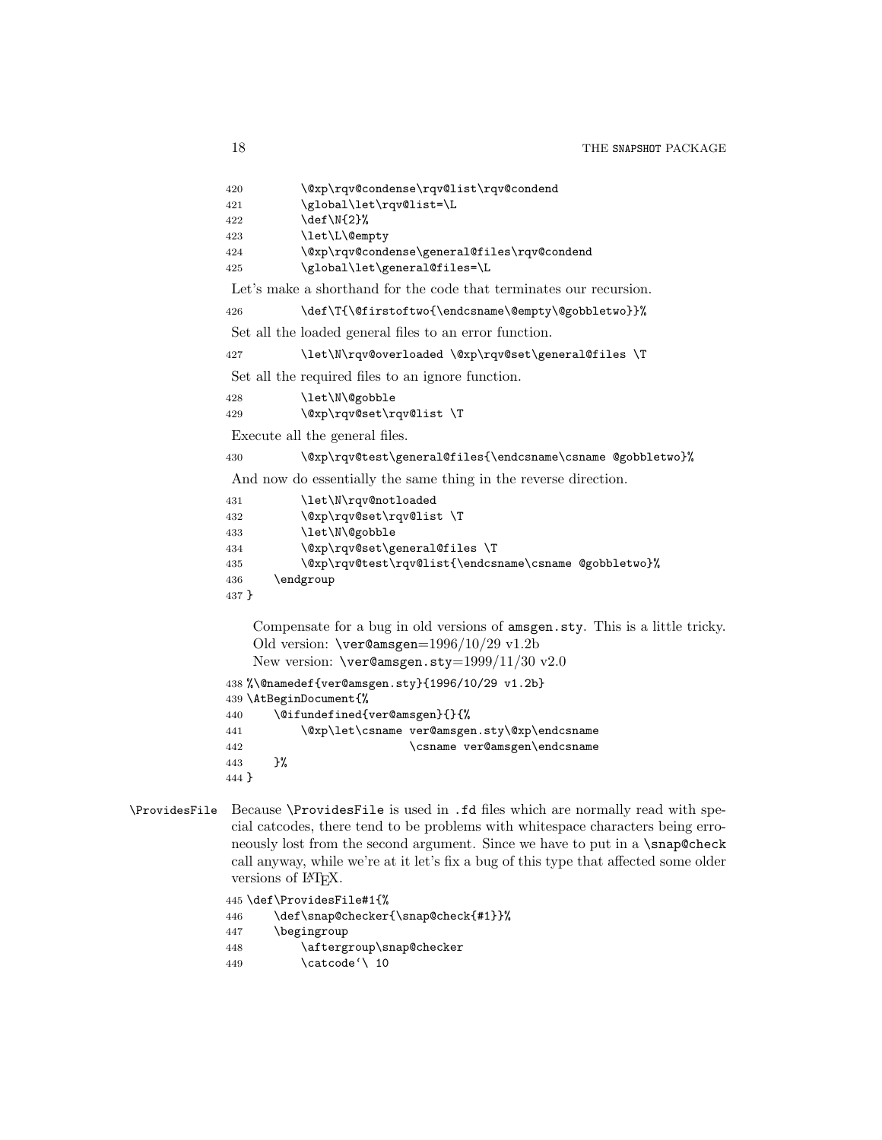| 420   | \@xp\rqv@condense\rqv@list\rqv@condend                                       |
|-------|------------------------------------------------------------------------------|
| 421   | \global\let\rqv@list=\L                                                      |
| 422   | \def\N{2}%                                                                   |
| 423   | \let\L\@empty                                                                |
| 424   | \@xp\rqv@condense\general@files\rqv@condend                                  |
| 425   | \global\let\general@files=\L                                                 |
|       | Let's make a shorthand for the code that terminates our recursion.           |
| 426   | \def\T{\@firstoftwo{\endcsname\@empty\@gobbletwo}}%                          |
|       | Set all the loaded general files to an error function.                       |
| 427   | \let\N\rqv@overloaded \@xp\rqv@set\general@files \T                          |
|       | Set all the required files to an ignore function.                            |
| 428   | \let\N\@gobble                                                               |
| 429   | \@xp\rqv@set\rqv@list \T                                                     |
|       | Execute all the general files.                                               |
| 430   | \@xp\rqv@test\general@files{\endcsname\csname @gobbletwo}%                   |
|       | And now do essentially the same thing in the reverse direction.              |
| 431   | \let\N\rqv@notloaded                                                         |
| 432   | \@xp\rqv@set\rqv@list \T                                                     |
| 433   | \let\N\@gobble                                                               |
| 434   | \@xp\rqv@set\general@files \T                                                |
| 435   | \@xp\rqv@test\rqv@list{\endcsname\csname @gobbletwo}%                        |
| 436   | \endgroup                                                                    |
| 437 } |                                                                              |
|       | Compensate for a bug in old versions of amsgen.sty. This is a little tricky. |
|       | Old version: $\ver{\text{amsgen}=1996/10/29 \text{ v1.2b}}$                  |
|       | New version: $\ver{eamsgen.sty=1999/11/30 v2.0}$                             |
|       | 438 %\@namedef{ver@amsgen.sty}{1996/10/29 v1.2b}                             |
|       | 439 \AtBeginDocument{%                                                       |
| 440   | \@ifundefined{ver@amsgen}{}{%                                                |
| 441   | \@xp\let\csname ver@amsgen.sty\@xp\endcsname                                 |
| 442   | \csname ver@amsgen\endcsname                                                 |

\ProvidesFile Because \ProvidesFile is used in .fd files which are normally read with special catcodes, there tend to be problems with whitespace characters being erroneously lost from the second argument. Since we have to put in a \snap@check call anyway, while we're at it let's fix a bug of this type that affected some older versions of IATEX.

445 \def\ProvidesFile#1{%

```
446 \def\snap@checker{\snap@check{#1}}%
```

```
447 \begingroup
```
443 }% 444 }

```
448 \aftergroup\snap@checker
```

```
449 \catcode'\ 10
```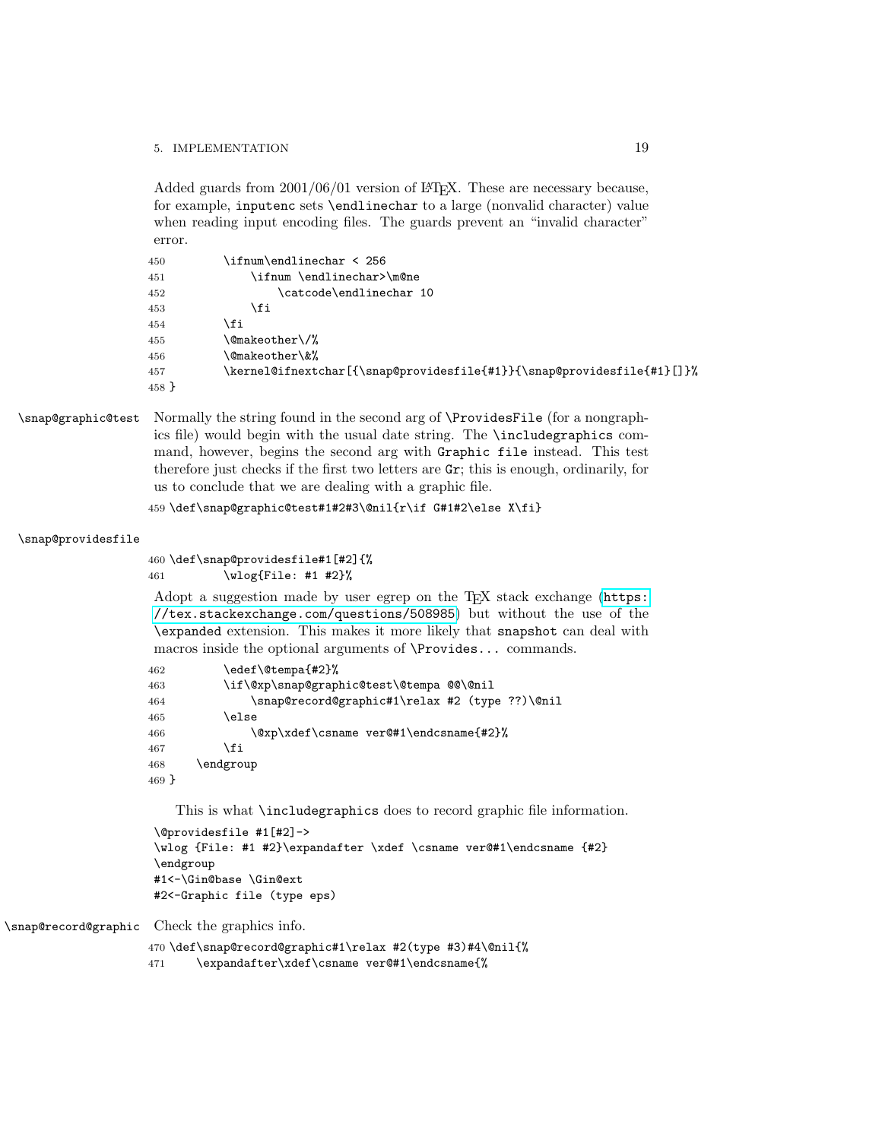#### 5. IMPLEMENTATION 19

Added guards from  $2001/06/01$  version of L<sup>AT</sup><sub>EX</sub>. These are necessary because, for example, inputenc sets \endlinechar to a large (nonvalid character) value when reading input encoding files. The guards prevent an "invalid character" error.

| 450   | \ifnum\endlinechar < 256                                               |
|-------|------------------------------------------------------------------------|
| 451   | \ifnum \endlinechar>\m@ne                                              |
| 452   | \catcode\endlinechar 10                                                |
| 453   | \fi                                                                    |
| 454   | ۱fi                                                                    |
| 455   | \@makeother\/%                                                         |
| 456   | \@makeother\&%                                                         |
| 457   | \kernel@ifnextchar[{\snap@providesfile{#1}}{\snap@providesfile{#1}[]}% |
| 458 P |                                                                        |
|       |                                                                        |

\snap@graphic@test Normally the string found in the second arg of \ProvidesFile (for a nongraphics file) would begin with the usual date string. The \includegraphics command, however, begins the second arg with Graphic file instead. This test therefore just checks if the first two letters are Gr; this is enough, ordinarily, for us to conclude that we are dealing with a graphic file.

```
459 \def\snap@graphic@test#1#2#3\@nil{r\if G#1#2\else X\fi}
```
#### \snap@providesfile

```
460 \def\snap@providesfile#1[#2]{%
461 \wlog{File: #1 #2}%
```
Adopt a suggestion made by user egrep on the  $T<sub>F</sub>X$  stack exchange ([https:](https://tex.stackexchange.com/questions/508985) [//tex.stackexchange.com/questions/508985](https://tex.stackexchange.com/questions/508985)) but without the use of the \expanded extension. This makes it more likely that snapshot can deal with macros inside the optional arguments of \Provides... commands.

```
462 \edef\@tempa{#2}%
463 \if\@xp\snap@graphic@test\@tempa @@\@nil
464 \snap@record@graphic#1\relax #2 (type ??)\@nil
465 \else
466 \@xp\xdef\csname ver@#1\endcsname{#2}%
467 \fi
468 \endgroup
469 }
```
This is what \includegraphics does to record graphic file information.

```
\@providesfile #1[#2]->
\wlog {File: #1 #2}\expandafter \xdef \csname ver@#1\endcsname {#2}
\endgroup
#1<-\Gin@base \Gin@ext
#2<-Graphic file (type eps)
```
\snap@record@graphic Check the graphics info.

470 \def\snap@record@graphic#1\relax #2(type #3)#4\@nil{%

471 \expandafter\xdef\csname ver@#1\endcsname{%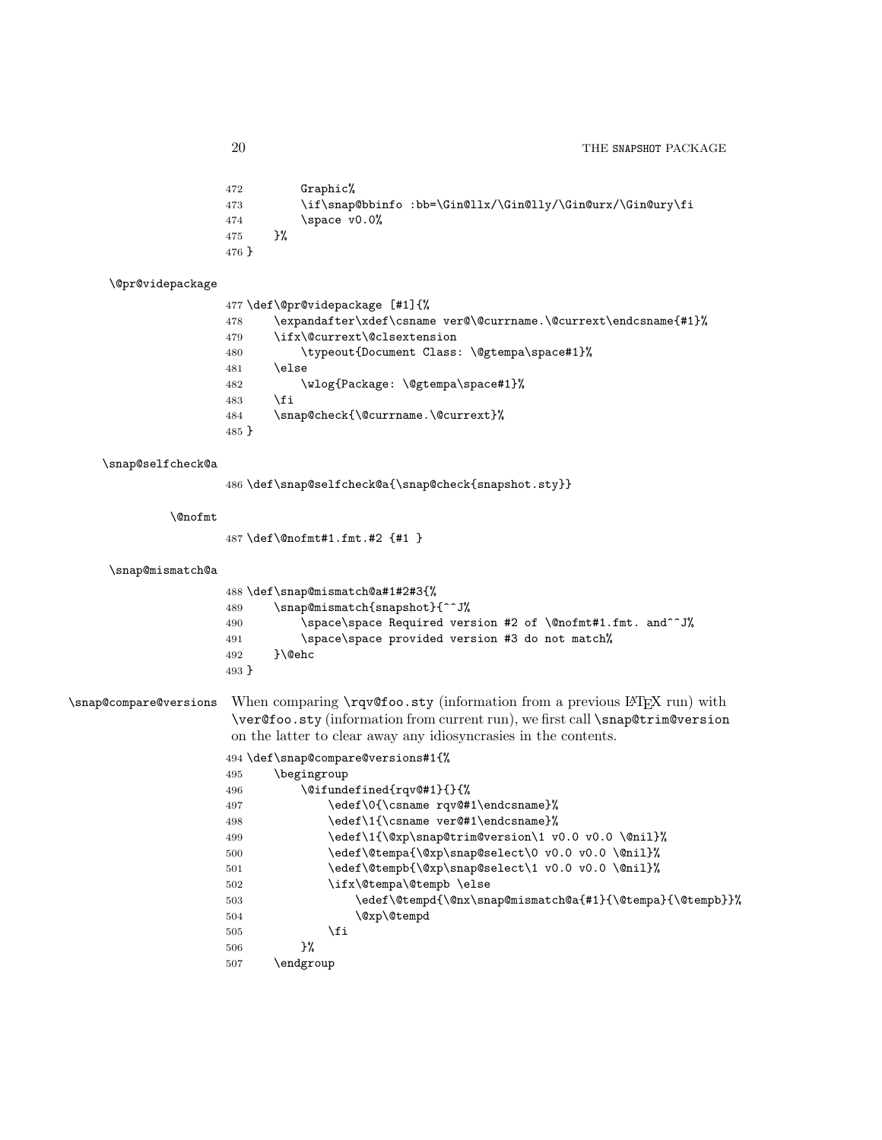Graphic%

| 473 | \if\snap@bbinfo :bb=\Gin@llx/\Gin@lly/\Gin@urx/\Gin@ury\fi |  |
|-----|------------------------------------------------------------|--|
|     |                                                            |  |

- 474 \space v0.0%
- }% }
- \@pr@videpackage

|         | 477 \def\@pr@videpackage [#1]{%                                  |
|---------|------------------------------------------------------------------|
| 478     | \expandafter\xdef\csname ver@\@currname.\@currext\endcsname{#1}% |
| 479     | \ifx\@currext\@clsextension                                      |
| 480     | \typeout{Document Class: \@gtempa\space#1}%                      |
| 481     | \else                                                            |
| 482     | \wlog{Package:\@gtempa\space#1}%                                 |
| 483     | \fi                                                              |
| 484     | \snap@check{\@currname.\@currext}%                               |
| $485$ } |                                                                  |

#### \snap@selfcheck@a

 $486 \def \simeq \def \simeq \def \simeq \def \simeq \def \simeq \def \simeq \def \simeq \def \simeq \def \simeq \def \simeq \def \simeq \def \simeq \def \simeq \def \simeq \def \simeq \def \simeq \def \simeq \def \simeq \def \simeq \def \simeq \def \simeq \def \simeq \def \simeq \def \simeq \def \simeq \def \simeq \def \simeq \def \simeq \def \simeq \def \simeq \def \simeq \def \simeq \def \simeq \def \simeq \def \simeq \def \simeq \$ 

```
\@nofmt
```
\def\@nofmt#1.fmt.#2 {#1 }

```
\snap@mismatch@a
```

|         | 488 \def\snap@mismatch@a#1#2#3{%                           |  |  |  |  |  |  |  |  |
|---------|------------------------------------------------------------|--|--|--|--|--|--|--|--|
| 489     | \snap@mismatch{snapshot}{^^J%                              |  |  |  |  |  |  |  |  |
| 490     | \space\space Required version #2 of \@nofmt#1.fmt. and^^J% |  |  |  |  |  |  |  |  |
| 491     | \space\space provided version #3 do not match%             |  |  |  |  |  |  |  |  |
| 492     | }\@ehc                                                     |  |  |  |  |  |  |  |  |
| $493$ } |                                                            |  |  |  |  |  |  |  |  |

# \snap@compare@versions When comparing \rqv@foo.sty (information from a previous LATEX run) with \ver@foo.sty (information from current run), we first call \snap@trim@version on the latter to clear away any idiosyncrasies in the contents.

|     | 494 \def\snap@compare@versions#1{%                        |
|-----|-----------------------------------------------------------|
| 495 | \begingroup                                               |
| 496 | \@ifundefined{rqv@#1}{}{%                                 |
| 497 | \edef\0{\csname rqv@#1\endcsname}%                        |
| 498 | \edef\1{\csname ver@#1\endcsname}%                        |
| 499 | \edef\1{\@xp\snap@trim@version\1 v0.0 v0.0 \@nil}%        |
| 500 | \edef\@tempa{\@xp\snap@select\0 v0.0 v0.0 \@nil}%         |
| 501 | \edef\@tempb{\@xp\snap@select\1 v0.0 v0.0 \@nil}%         |
| 502 | \ifx\@tempa\@tempb \else                                  |
| 503 | \edef\@tempd{\@nx\snap@mismatch@a{#1}{\@tempa}{\@tempb}}% |
| 504 | \@xp\@tempd                                               |
| 505 | \fi                                                       |
| 506 | ን%                                                        |
| 507 | \endgroup                                                 |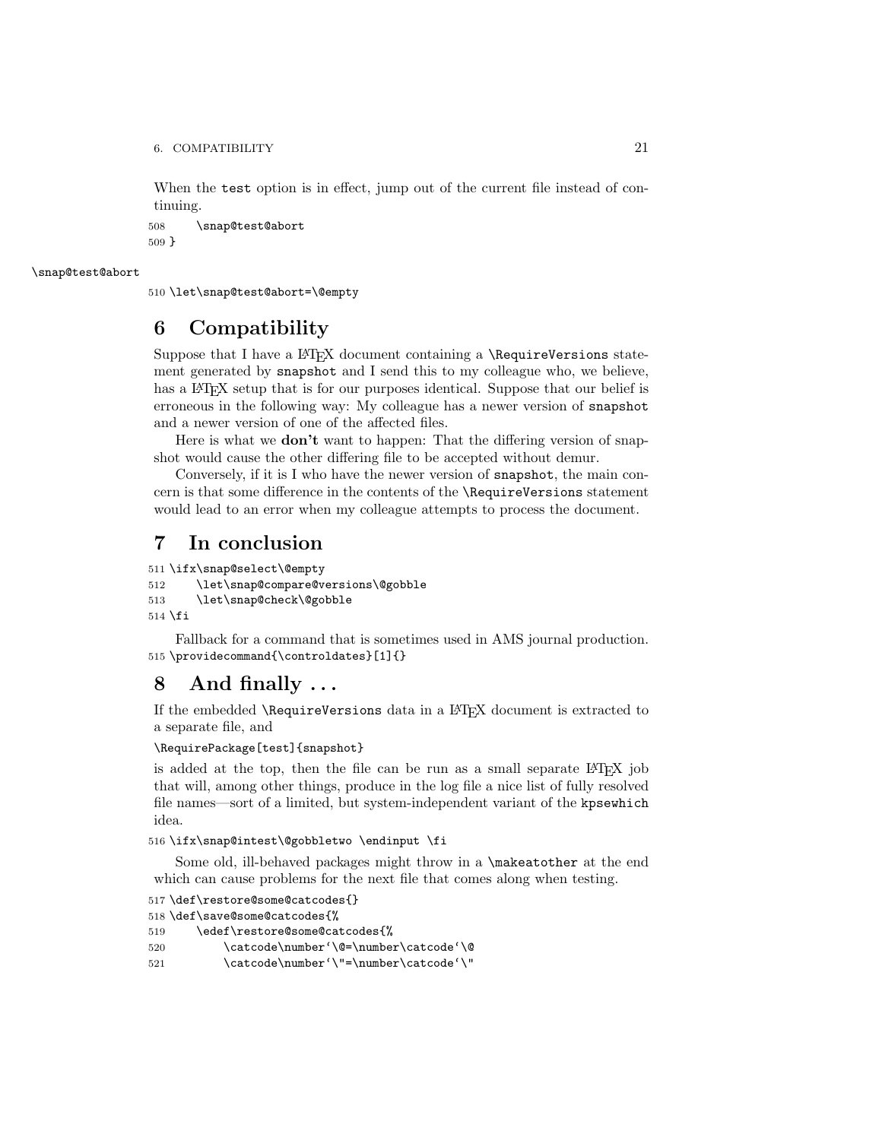When the test option is in effect, jump out of the current file instead of continuing.

508 \snap@test@abort 509 }

#### \snap@test@abort

510 \let\snap@test@abort=\@empty

# <span id="page-20-0"></span>6 Compatibility

Suppose that I have a LAT<sub>EX</sub> document containing a  $\Re$  **RequireVersions** statement generated by snapshot and I send this to my colleague who, we believe, has a LAT<sub>EX</sub> setup that is for our purposes identical. Suppose that our belief is erroneous in the following way: My colleague has a newer version of snapshot and a newer version of one of the affected files.

Here is what we **don't** want to happen: That the differing version of snapshot would cause the other differing file to be accepted without demur.

Conversely, if it is I who have the newer version of snapshot, the main concern is that some difference in the contents of the \RequireVersions statement would lead to an error when my colleague attempts to process the document.

# <span id="page-20-1"></span>7 In conclusion

```
511 \ifx\snap@select\@empty
```

```
512 \let\snap@compare@versions\@gobble
```

```
513 \let\snap@check\@gobble
```
 $514$  \fi

Fallback for a command that is sometimes used in AMS journal production. 515 \providecommand{\controldates}[1]{}

# <span id="page-20-2"></span>8 And finally . . .

If the embedded **\RequireVersions** data in a L<sup>AT</sup>EX document is extracted to a separate file, and

\RequirePackage[test]{snapshot}

is added at the top, then the file can be run as a small separate LAT<sub>F</sub>X job that will, among other things, produce in the log file a nice list of fully resolved file names—sort of a limited, but system-independent variant of the kpsewhich idea.

516 \ifx\snap@intest\@gobbletwo \endinput \fi

Some old, ill-behaved packages might throw in a \makeatother at the end which can cause problems for the next file that comes along when testing.

```
517 \def\restore@some@catcodes{}
```

```
518 \def\save@some@catcodes{%
```

```
519 \edef\restore@some@catcodes{%
520 \catcode\number'\@=\number\catcode'\@
521 \catcode\number'\"=\number\catcode'\"
```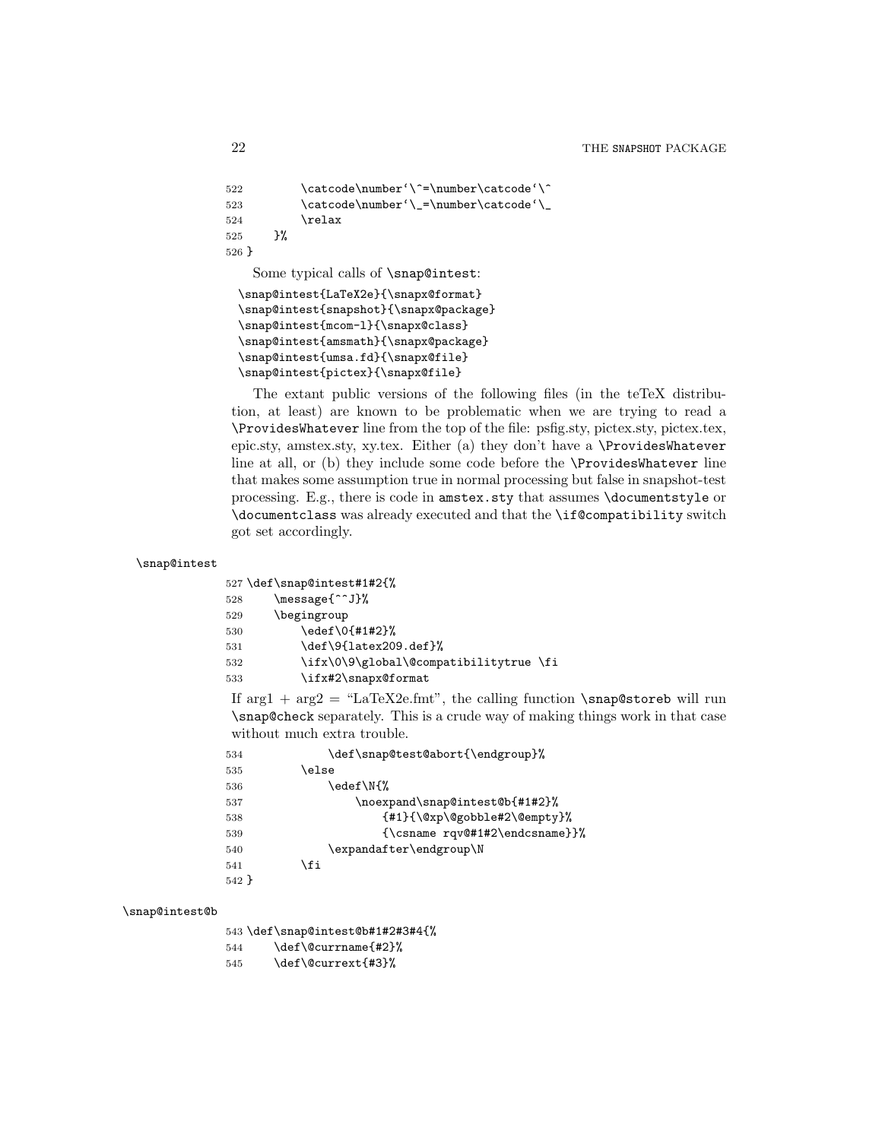```
522 \catcode\number'\^=\number\catcode'\^
523 \catcode\number'\_=\number\catcode'\_
524 \relax
525 }%
526 }
   Some typical calls of \snap@intest:
 \snap@intest{LaTeX2e}{\snapx@format}
 \snap@intest{snapshot}{\snapx@package}
 \snap@intest{mcom-l}{\snapx@class}
 \snap@intest{amsmath}{\snapx@package}
 \snap@intest{umsa.fd}{\snapx@file}
 \snap@intest{pictex}{\snapx@file}
```
The extant public versions of the following files (in the teTeX distribution, at least) are known to be problematic when we are trying to read a \ProvidesWhatever line from the top of the file: psfig.sty, pictex.sty, pictex.tex, epic.sty, amstex.sty, xy.tex. Either (a) they don't have a \ProvidesWhatever line at all, or (b) they include some code before the \ProvidesWhatever line that makes some assumption true in normal processing but false in snapshot-test processing. E.g., there is code in amstex.sty that assumes \documentstyle or \documentclass was already executed and that the \if@compatibility switch got set accordingly.

#### \snap@intest

|     | 527 \def\snap@intest#1#2{%             |  |
|-----|----------------------------------------|--|
| 528 | \message{^^J}%                         |  |
| 529 | \begingroup                            |  |
| 530 | \edef\0{#1#2}%                         |  |
| 531 | \def\9{latex209.def}%                  |  |
| 532 | \ifx\0\9\global\@compatibilitytrue \fi |  |
| 533 | \ifx#2\snapx@format                    |  |
|     |                                        |  |

If  $\arg 1 + \arg 2 =$  "LaTeX2e.fmt", the calling function \snap@storeb will run \snap@check separately. This is a crude way of making things work in that case without much extra trouble.

| 534   | \def\snap@test@abort{\endgroup}% |
|-------|----------------------------------|
| 535   | \else                            |
| 536   | \edef\N{%                        |
| 537   | \noexpand\snap@intest@b{#1#2}%   |
| 538   | ${#1}({@xp@gobble#2@empty}\$     |
| 539   | {\csname rqv@#1#2\endcsname}}%   |
| 540   | \expandafter\endgroup\N          |
| 541   | \fi                              |
| 542 P |                                  |

#### \snap@intest@b

543 \def\snap@intest@b#1#2#3#4{%

544 \def\@currname{#2}%

545 \def\@currext{#3}%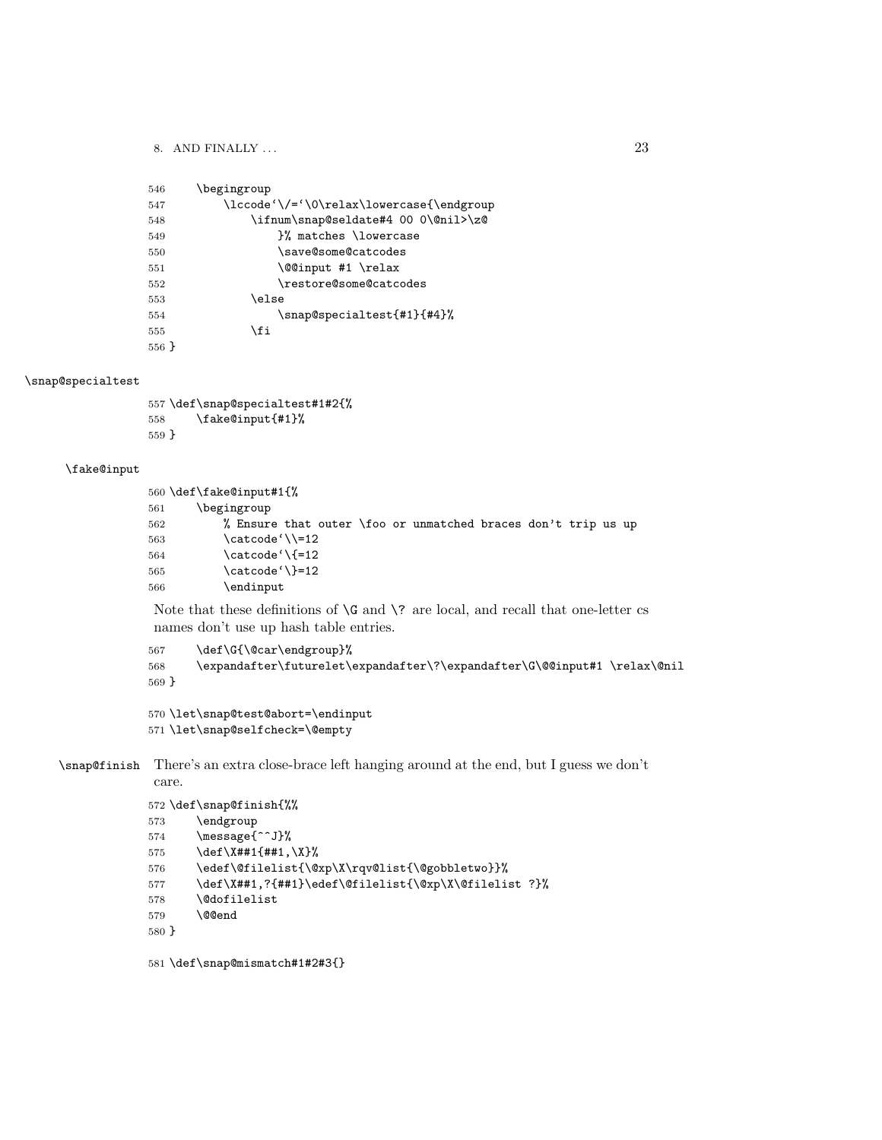### 8. AND FINALLY ... 23

| 546     | \begingroup                              |
|---------|------------------------------------------|
| 547     | \lccode'\/='\0\relax\lowercase{\endgroup |
| 548     | \ifnum\snap@seldate#4 00 0\@nil>\z@      |
| 549     | }% matches \lowercase                    |
| 550     | \save@some@catcodes                      |
| 551     | \@@input #1 \relax                       |
| 552     | \restore@some@catcodes                   |
| 553     | \else                                    |
| 554     | \snap@specialtest{#1}{#4}%               |
| 555     | \fi                                      |
| $556$ } |                                          |

#### \snap@specialtest

```
557 \def\snap@specialtest#1#2{%
558 \fake@input{#1}%
559 }
```
#### \fake@input

```
560 \def\fake@input#1{%
561 \begingroup
562 % Ensure that outer \foo or unmatched braces don't trip us up
563 \catcode'\\=12
564 \catcode'\{=12
565 \catcode'\}=12
566 \endinput
```
Note that these definitions of  $\G$  and  $\G$  are local, and recall that one-letter cs names don't use up hash table entries.

```
567 \def\G{\@car\endgroup}%
568 \expandafter\futurelet\expandafter\?\expandafter\G\@@input#1 \relax\@nil
569 }
```

```
570 \let\snap@test@abort=\endinput
571 \let\snap@selfcheck=\@empty
```
\snap@finish There's an extra close-brace left hanging around at the end, but I guess we don't care.

```
572 \def\snap@finish{%%
573 \endgroup
574 \message{^^J}%
575 \def\X##1{##1,\X}%
576 \edef\@filelist{\@xp\X\rqv@list{\@gobbletwo}}%
577 \def\X##1,?{##1}\edef\@filelist{\@xp\X\@filelist ?}%
578 \@dofilelist
579 \@@end
580 }
```
\def\snap@mismatch#1#2#3{}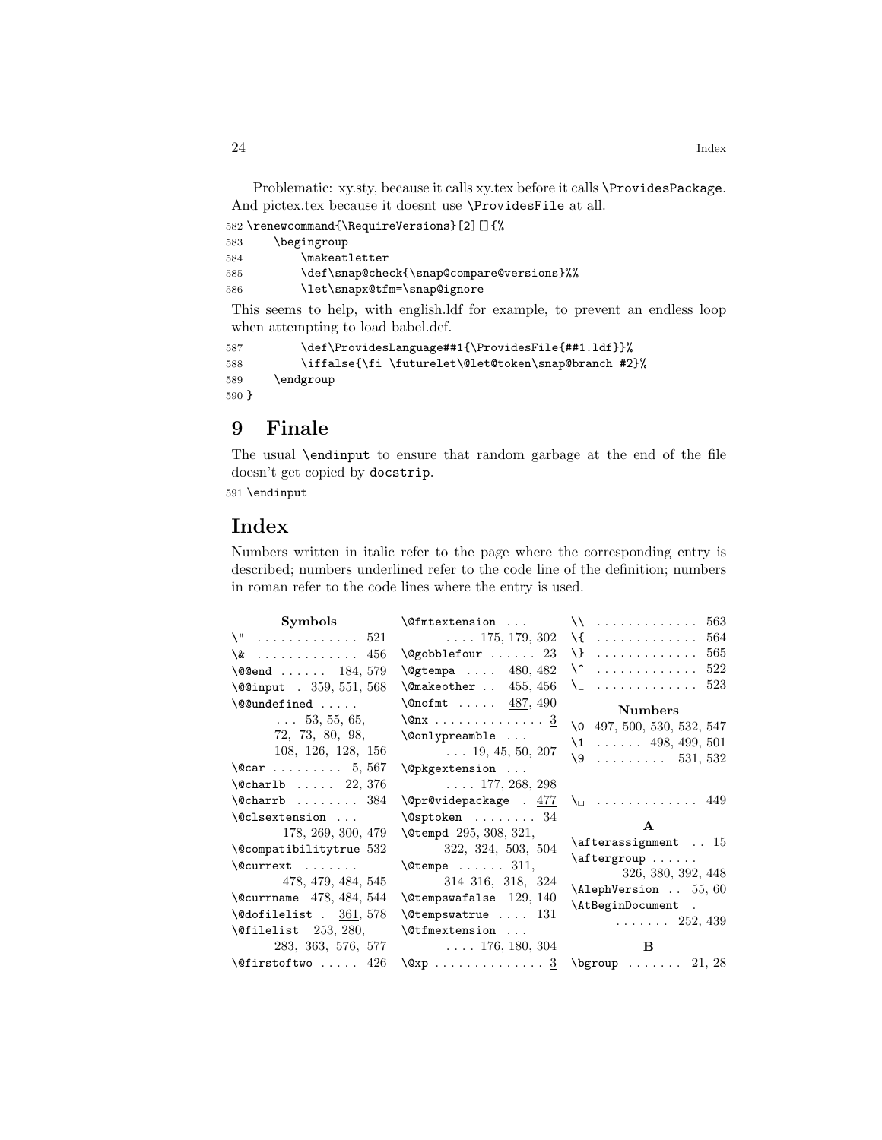|     | 582 \renewcommand{\RequireVersions}[2][]{% |
|-----|--------------------------------------------|
| 583 | \begingroup                                |
| 584 | \makeatletter                              |
| 585 | \def\snap@check{\snap@compare@versions}%%  |
| 586 | \let\snapx@tfm=\snap@ignore                |

This seems to help, with english.ldf for example, to prevent an endless loop when attempting to load babel.def.

```
587 \def\ProvidesLanguage##1{\ProvidesFile{##1.ldf}}%
588 \iffalse{\fi \futurelet\@let@token\snap@branch #2}%
589 \endgroup
590 }
```
# <span id="page-23-0"></span>9 Finale

The usual \endinput to ensure that random garbage at the end of the file doesn't get copied by docstrip.

591 \endinput

# Index

Numbers written in italic refer to the page where the corresponding entry is described; numbers underlined refer to the code line of the definition; numbers in roman refer to the code lines where the entry is used.

| Symbols                                                       | $\setminus$ Cfmtextension                                              |                                                                                        |
|---------------------------------------------------------------|------------------------------------------------------------------------|----------------------------------------------------------------------------------------|
| $\Upsilon$ 521                                                | $\ldots$ 175, 179, 302                                                 | $\setminus \{$ 564                                                                     |
| $\& \ldots \ldots \ldots \ 456$                               | $\text{\textbackslash} \texttt{Qgobblefour} \dots 23$                  | . 565<br>$\lambda$                                                                     |
| $\text{Q\texttt{Cend}}$ 184, 579                              | $\text{Qgtempa} \dots$ 480, 482                                        | . 522<br>\^                                                                            |
| \@@input . 359, 551, 568                                      | $\text{Qmakeother}$ 455, 456                                           | $\setminus$ 523                                                                        |
| \@@undefined                                                  | $\Omega$ 487, 490                                                      | <b>Numbers</b>                                                                         |
| $\ldots$ 53, 55, 65,<br>72, 73, 80, 98,<br>108, 126, 128, 156 | $\sqrt{en}x$ 3<br>$\emptyset$ onlypreamble<br>$\ldots$ 19, 45, 50, 207 | $\{0, 497, 500, 530, 532, 547\}$<br>$\setminus$ 1 498, 499, 501<br>$\sqrt{9}$ 531, 532 |
| $\sqrt{c}ar \ldots \ldots 5, 567$<br>$\Lambda$ 22, 376        | \@pkgextension<br>$\ldots$ 177, 268, 298                               |                                                                                        |
| $\text{Ccharrb} \dots \dots \ 384$                            |                                                                        | $\sqrt{q}$ pr@videpackage . $477 \sqrt{q}$ 449                                         |
| \@clsextension<br>178, 269, 300, 479                          | $\setminus$ @sptoken  34<br><b>\@tempd</b> 295, 308, 321,              | $\mathbf{A}$                                                                           |
| $\text{Qcompatibilitytrue}$ 532                               | 322, 324, 503, 504                                                     | $\text{determinent}$ . 15<br>$\text{degree} \dots$                                     |
| \@currext<br>478, 479, 484, 545                               | $\text{Vctempe}$ 311,<br>$314-316$ , $318$ , $324$                     | 326, 380, 392, 448<br>\AlephVersion  55, 60                                            |
| \@currname 478, 484, 544                                      | $\text{\textdegree} 129, 140$                                          | \AtBeginDocument .                                                                     |
| $\delta$ . 361, 578                                           | $\texttt{\textbackslash}$ Ctempswatrue $131$                           | $\ldots \ldots 252, 439$                                                               |
| $\text{\texttt{{\char'13em 253, 280.}}}$                      | \@tfmextension                                                         |                                                                                        |
|                                                               | $283, 363, 576, 577$ 176, 180, 304                                     | B                                                                                      |
| $\text{\textbackslash}\mathfrak{G}$ firstoftwo $426$          |                                                                        |                                                                                        |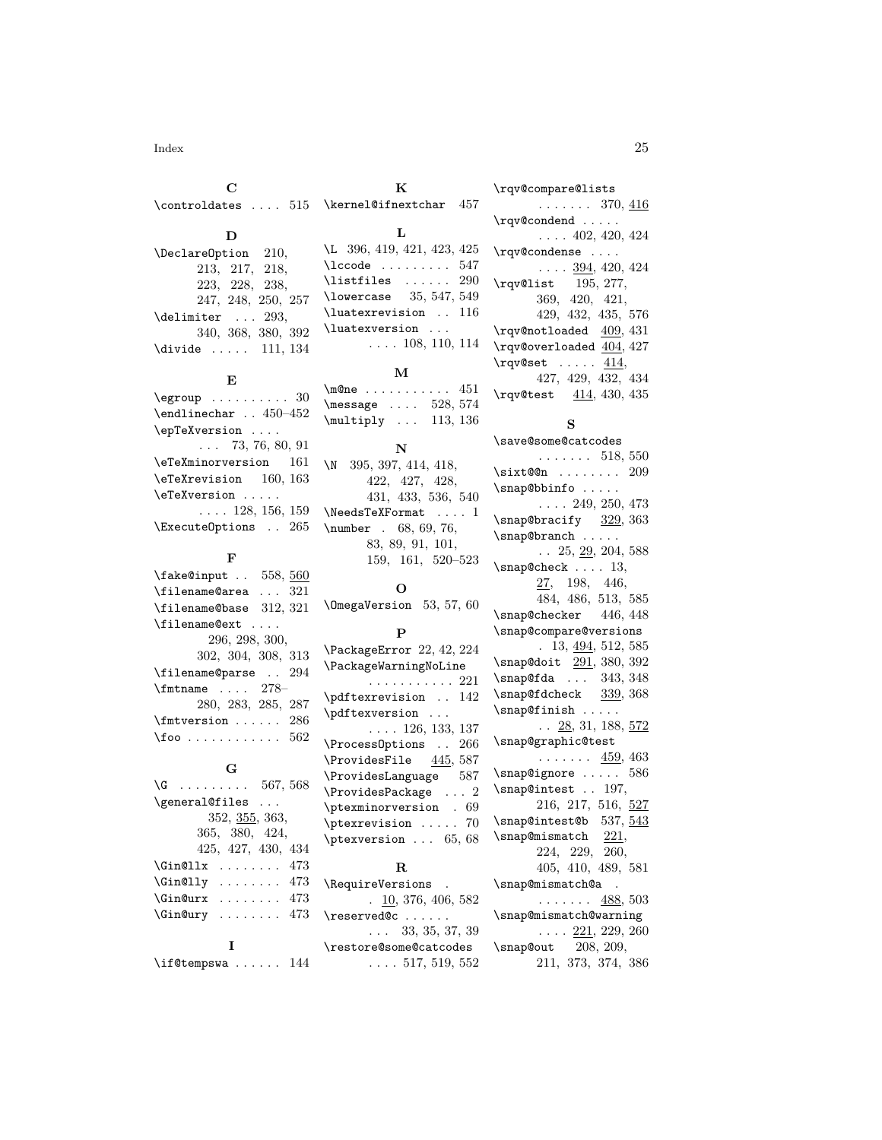Index 25

 $\mathbf C$ \controldates . . . . 515 \kernel@ifnextchar 457 K

D

\DeclareOption 210, 213, 217, 218, 223, 228, 238, 247, 248, 250, 257 \delimiter ... 293, 340, 368, 380, 392 \divide . . . . . 111, 134

#### E

 $\qquad \ldots \ldots \quad 30$ \endlinechar . . 450–452 \epTeXversion . . . . . . . 73, 76, 80, 91 \eTeXminorversion 161 \eTeXrevision 160, 163 \eTeXversion . . . . . . . . . 128, 156, 159 \ExecuteOptions . . 265

#### F

\fake@input . . 558, 560 \filename@area ... 321 \filename@base 312, 321 \filename@ext .... 296, 298, 300, 302, 304, 308, 313 \filename@parse .. 294 \fmtname . . . . 278– 280, 283, 285, 287 \fmtversion . . . . . . 286 \foo . . . . . . . . . . . . 562

### G

| $\sqrt{G}$ 567, 568 |                |  |  |  |                    |
|---------------------|----------------|--|--|--|--------------------|
| \general@files      |                |  |  |  |                    |
|                     | 352, 355, 363, |  |  |  |                    |
| 365, 380, 424,      |                |  |  |  |                    |
|                     |                |  |  |  | 425, 427, 430, 434 |
|                     |                |  |  |  |                    |
| $\dim$ 011y  473    |                |  |  |  |                    |
|                     |                |  |  |  |                    |
| $\dim$ Cury  473    |                |  |  |  |                    |
|                     |                |  |  |  |                    |
|                     |                |  |  |  |                    |

\if@tempswa . . . . . . 144

### L

| L 396, 419, 421, 423, 425            |  |
|--------------------------------------|--|
| $\lambda$ ccode  547                 |  |
| $\text{listfiles} \dots \dots \ 290$ |  |
| \lowercase 35, 547, 549              |  |
| \luatexrevision  116                 |  |
| \luatexversion                       |  |
| $\ldots$ 108, 110, 114               |  |

M

\m@ne . . . . . . . . . . . 451 \message . . . . 528, 574 \multiply ... 113, 136 N \N 395, 397, 414, 418, 422, 427, 428, 431, 433, 536, 540 \NeedsTeXFormat . . . . 1 \number . 68, 69, 76, 83, 89, 91, 101, 159, 161, 520–523

O \OmegaVersion 53, 57, 60

#### P

\PackageError 22, 42, 224 \PackageWarningNoLine . . . . . . . . . . . 221 \pdftexrevision . . 142 \pdftexversion . . . . . . . 126, 133, 137 \ProcessOptions . . 266 \ProvidesFile 445, 587 \ProvidesLanguage 587  $\verb+\ProvidesPackage + \dots 2+$ \ptexminorversion . 69 \ptexrevision ..... 70 \ptexversion . . . 65, 68

#### R

\RequireVersions . . 10, 376, 406, 582 \reserved@c . . . . . . . . . 33, 35, 37, 39 \restore@some@catcodes  $\ldots$  517, 519, 552 \rqv@compare@lists  $\ldots \ldots 370, \frac{416}{2}$ \rqv@condend . . . . .  $\ldots$  402, 420, 424 \rqv@condense . . . .  $\ldots$  394, 420, 424 \rqv@list 195, 277, 369, 420, 421, 429, 432, 435, 576 \rqv@notloaded 409, 431 \rqv@overloaded 404, 427  $\rangle$ rqv@set .....  $414,$ 427, 429, 432, 434 \rqv@test 414, 430, 435

### S

\save@some@catcodes . . . . . . . 518, 550 \sixt@@n . . . . . . . . 209 \snap@bbinfo . . . . . . . . . 249, 250, 473 \snap@bracify 329, 363 \snap@branch . . . . .  $\ldots$  25, 29, 204, 588 \snap@check . . . . 13, 27, 198, 446, 484, 486, 513, 585 \snap@checker 446, 448 \snap@compare@versions  $. 13, \underline{494}, 512, 585$ \snap@doit 291, 380, 392 \snap@fda ... 343, 348 \snap@fdcheck 339, 368 \snap@finish . . . . .  $\ldots$  28, 31, 188, 572 \snap@graphic@test  $\ldots \ldots$  459, 463 \snap@ignore ..... 586  $\verb+\snap@intest . . 197,$ 216, 217, 516, 527 \snap@intest@b 537, 543 \snap@mismatch 221, 224, 229, 260, 405, 410, 489, 581 \snap@mismatch@a .  $\ldots \ldots$  488, 503 \snap@mismatch@warning  $\ldots$  221, 229, 260 \snap@out 208, 209, 211, 373, 374, 386